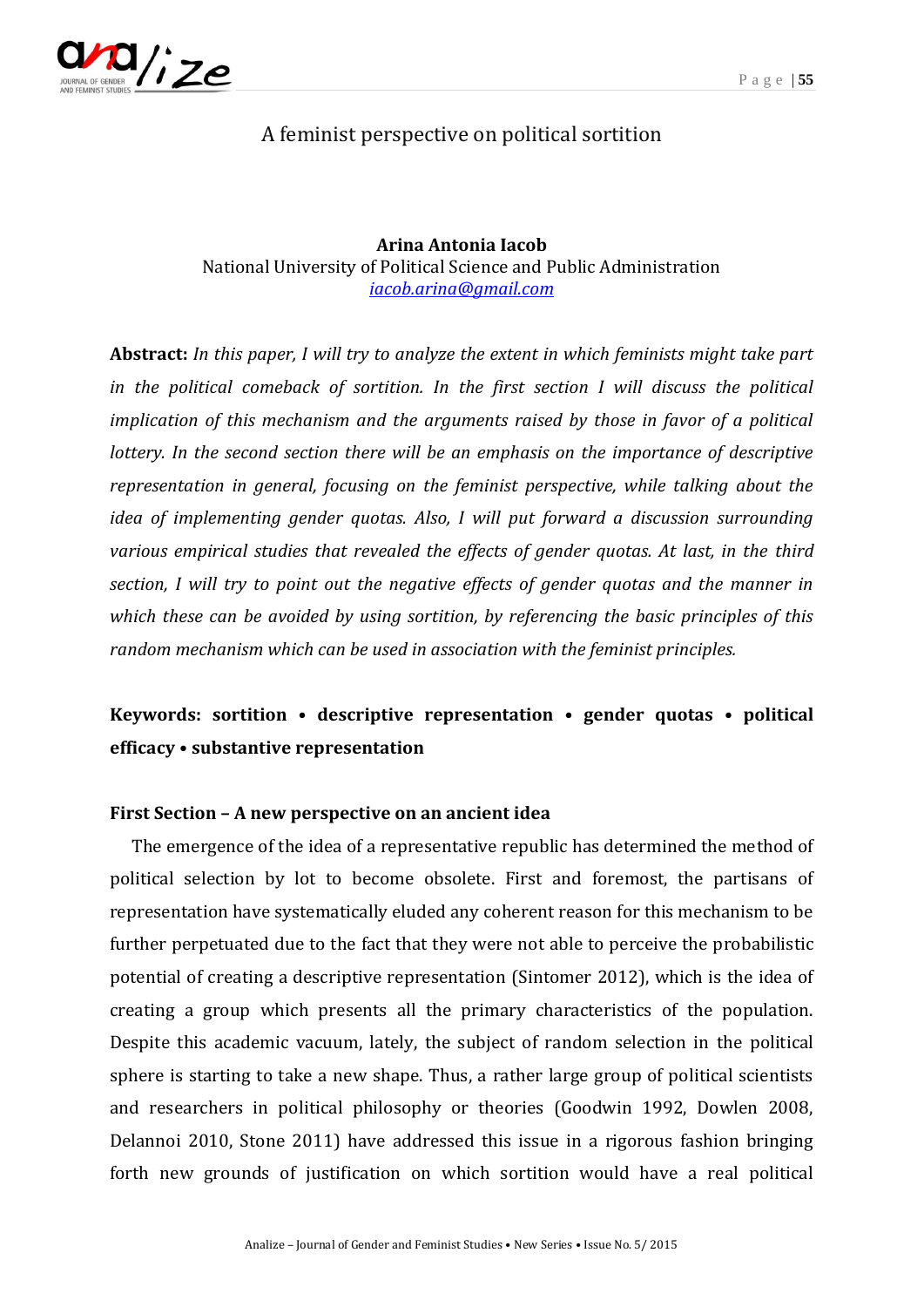

# A feminist perspective on political sortition

**Arina Antonia Iacob** National University of Political Science and Public Administration *[iacob.arina@gmail.com](mailto:iacob.arina@gmail.com)*

**Abstract:** *In this paper, I will try to analyze the extent in which feminists might take part in the political comeback of sortition. In the first section I will discuss the political implication of this mechanism and the arguments raised by those in favor of a political lottery. In the second section there will be an emphasis on the importance of descriptive representation in general, focusing on the feminist perspective, while talking about the idea of implementing gender quotas. Also, I will put forward a discussion surrounding various empirical studies that revealed the effects of gender quotas. At last, in the third section, I will try to point out the negative effects of gender quotas and the manner in which these can be avoided by using sortition, by referencing the basic principles of this random mechanism which can be used in association with the feminist principles.*

# **Keywords: sortition • descriptive representation • gender quotas • political efficacy • substantive representation**

#### **First Section – A new perspective on an ancient idea**

The emergence of the idea of a representative republic has determined the method of political selection by lot to become obsolete. First and foremost, the partisans of representation have systematically eluded any coherent reason for this mechanism to be further perpetuated due to the fact that they were not able to perceive the probabilistic potential of creating a descriptive representation (Sintomer 2012), which is the idea of creating a group which presents all the primary characteristics of the population. Despite this academic vacuum, lately, the subject of random selection in the political sphere is starting to take a new shape. Thus, a rather large group of political scientists and researchers in political philosophy or theories (Goodwin 1992, Dowlen 2008, Delannoi 2010, Stone 2011) have addressed this issue in a rigorous fashion bringing forth new grounds of justification on which sortition would have a real political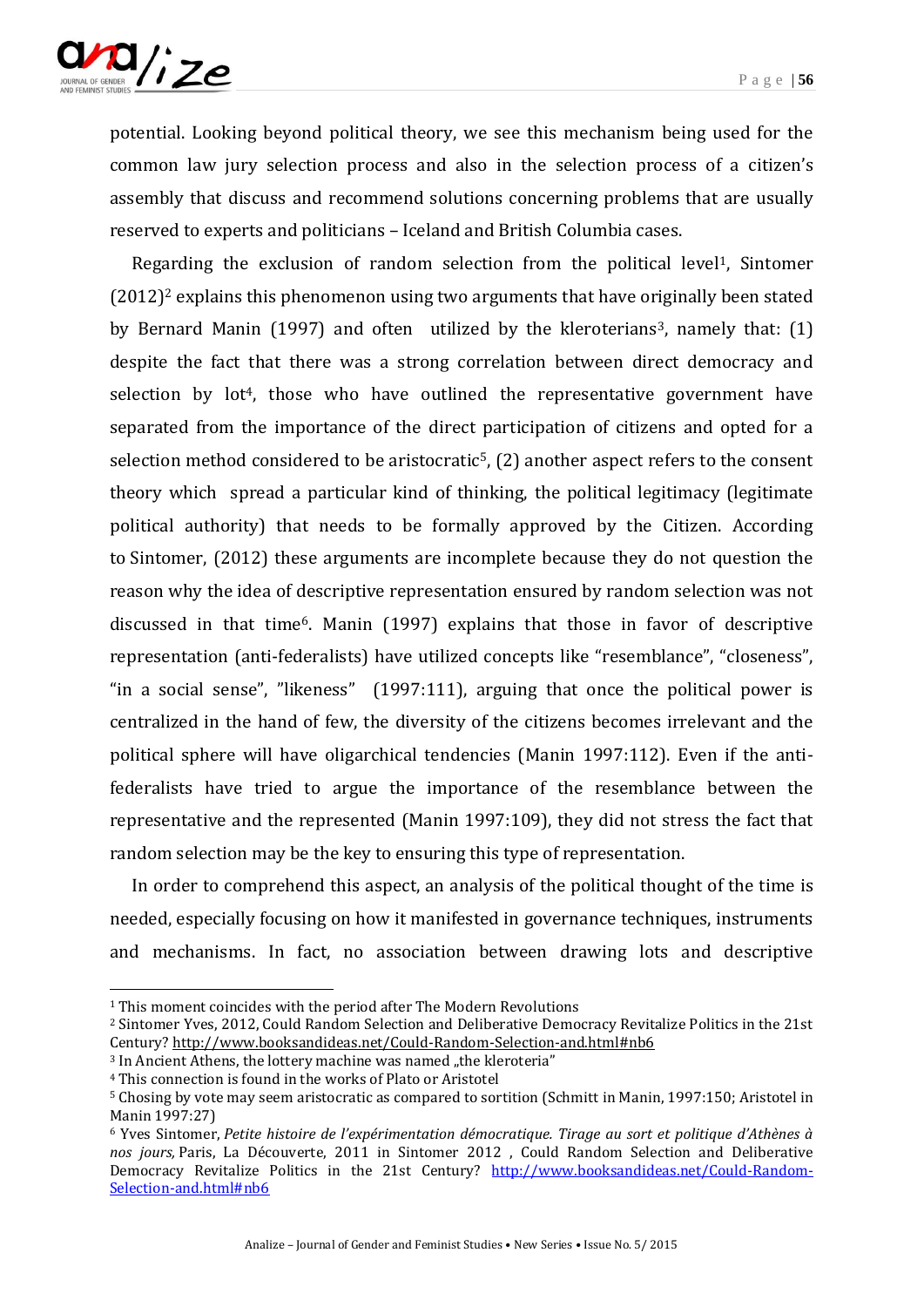

potential. Looking beyond political theory, we see this mechanism being used for the common law jury selection process and also in the selection process of a citizen's assembly that discuss and recommend solutions concerning problems that are usually reserved to experts and politicians – Iceland and British Columbia cases.

Regarding the exclusion of random selection from the political level<sup>1</sup>, Sintomer  $(2012)^2$  explains this phenomenon using two arguments that have originally been stated by Bernard Manin (1997) and often utilized by the kleroterians<sup>3</sup>, namely that: (1) despite the fact that there was a strong correlation between direct democracy and selection by lot<sup>4</sup>, those who have outlined the representative government have separated from the importance of the direct participation of citizens and opted for a selection method considered to be aristocratic<sup>5</sup>,  $(2)$  another aspect refers to the consent theory which spread a particular kind of thinking, the political legitimacy (legitimate political authority) that needs to be formally approved by the Citizen. According to Sintomer, (2012) these arguments are incomplete because they do not question the reason why the idea of descriptive representation ensured by random selection was not discussed in that time6. Manin (1997) explains that those in favor of descriptive representation (anti-federalists) have utilized concepts like "resemblance", "closeness", "in a social sense", "likeness" (1997:111), arguing that once the political power is centralized in the hand of few, the diversity of the citizens becomes irrelevant and the political sphere will have oligarchical tendencies (Manin 1997:112). Even if the antifederalists have tried to argue the importance of the resemblance between the representative and the represented (Manin 1997:109), they did not stress the fact that random selection may be the key to ensuring this type of representation.

In order to comprehend this aspect, an analysis of the political thought of the time is needed, especially focusing on how it manifested in governance techniques, instruments and mechanisms. In fact, no association between drawing lots and descriptive

1

<sup>&</sup>lt;sup>1</sup> This moment coincides with the period after The Modern Revolutions

<sup>2</sup> Sintomer Yves, 2012, Could Random Selection and Deliberative Democracy Revitalize Politics in the 21st Century[? http://www.booksandideas.net/Could-Random-Selection-and.html#nb6](http://www.booksandideas.net/Could-Random-Selection-and.html#nb6)

<sup>&</sup>lt;sup>3</sup> In Ancient Athens, the lottery machine was named "the kleroteria"

<sup>4</sup> This connection is found in the works of Plato or Aristotel

<sup>5</sup> Chosing by vote may seem aristocratic as compared to sortition (Schmitt in Manin, 1997:150; Aristotel in Manin 1997:27)

<sup>6</sup> Yves Sintomer, *Petite histoire de l'expérimentation démocratique. Tirage au sort et politique d'Athènes à nos jours,* Paris, La Découverte, 2011 in Sintomer 2012 , Could Random Selection and Deliberative Democracy Revitalize Politics in the 21st Century? [http://www.booksandideas.net/Could-Random-](http://www.booksandideas.net/Could-Random-Selection-and.html#nb6)[Selection-and.html#nb6](http://www.booksandideas.net/Could-Random-Selection-and.html#nb6)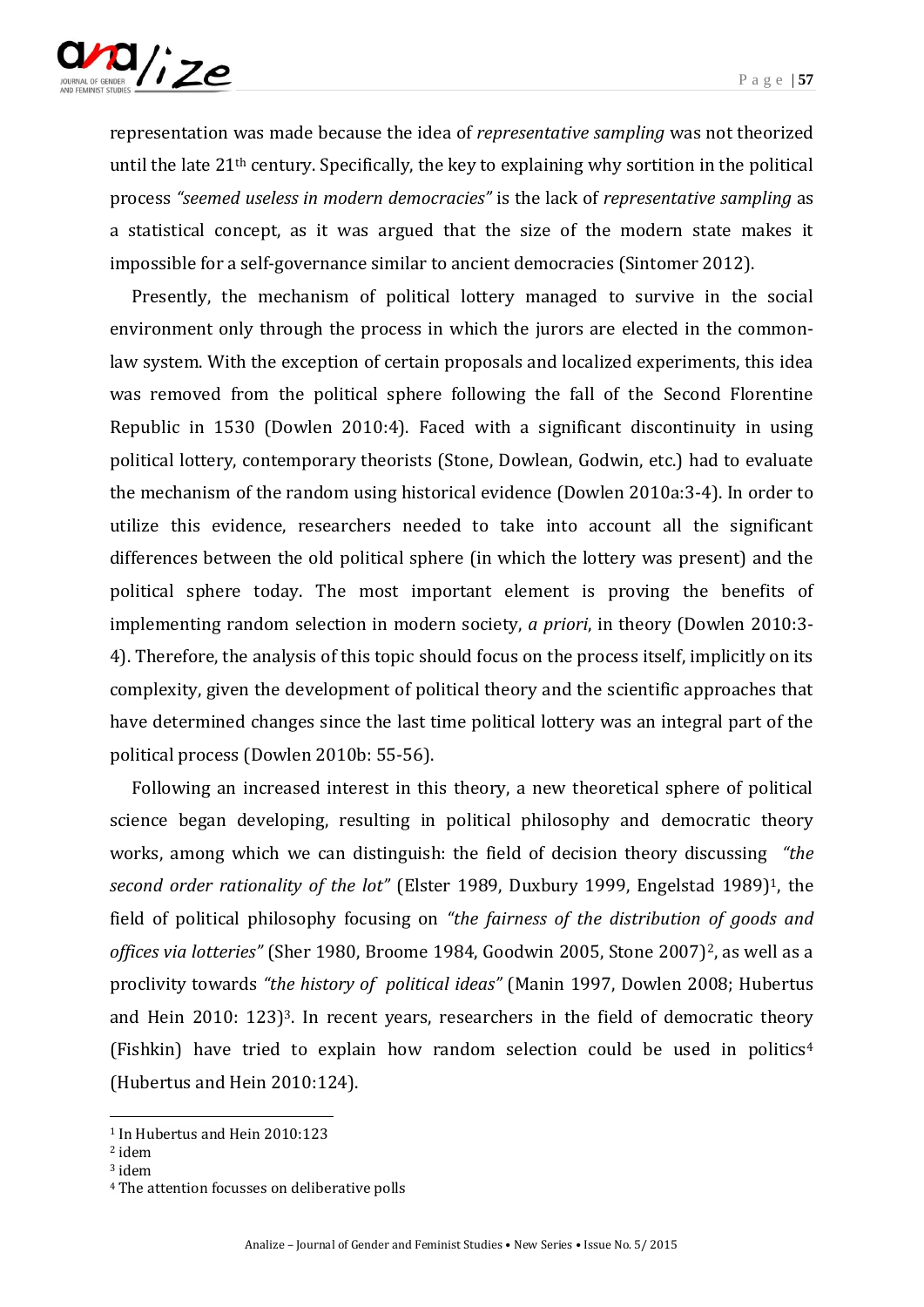

representation was made because the idea of *representative sampling* was not theorized until the late 21th century. Specifically, the key to explaining why sortition in the political process *"seemed useless in modern democracies"* is the lack of *representative sampling* as a statistical concept, as it was argued that the size of the modern state makes it impossible for a self-governance similar to ancient democracies (Sintomer 2012).

Presently, the mechanism of political lottery managed to survive in the social environment only through the process in which the jurors are elected in the commonlaw system. With the exception of certain proposals and localized experiments, this idea was removed from the political sphere following the fall of the Second Florentine Republic in 1530 (Dowlen 2010:4). Faced with a significant discontinuity in using political lottery, contemporary theorists (Stone, Dowlean, Godwin, etc.) had to evaluate the mechanism of the random using historical evidence (Dowlen 2010a:3-4). In order to utilize this evidence, researchers needed to take into account all the significant differences between the old political sphere (in which the lottery was present) and the political sphere today. The most important element is proving the benefits of implementing random selection in modern society, *a priori*, in theory (Dowlen 2010:3- 4). Therefore, the analysis of this topic should focus on the process itself, implicitly on its complexity, given the development of political theory and the scientific approaches that have determined changes since the last time political lottery was an integral part of the political process (Dowlen 2010b: 55-56).

Following an increased interest in this theory, a new theoretical sphere of political science began developing, resulting in political philosophy and democratic theory works, among which we can distinguish: the field of decision theory discussing *"the second order rationality of the lot"* (Elster 1989, Duxbury 1999, Engelstad 1989)1, the field of political philosophy focusing on *"the fairness of the distribution of goods and*  offices via lotteries" (Sher 1980, Broome 1984, Goodwin 2005, Stone 2007)<sup>2</sup>, as well as a proclivity towards *"the history of political ideas"* (Manin 1997, Dowlen 2008; Hubertus and Hein 2010: 123)3. In recent years, researchers in the field of democratic theory (Fishkin) have tried to explain how random selection could be used in politics<sup>4</sup> (Hubertus and Hein 2010:124).

1

<sup>1</sup> In Hubertus and Hein 2010:123

<sup>2</sup> idem

<sup>3</sup> idem

<sup>4</sup> The attention focusses on deliberative polls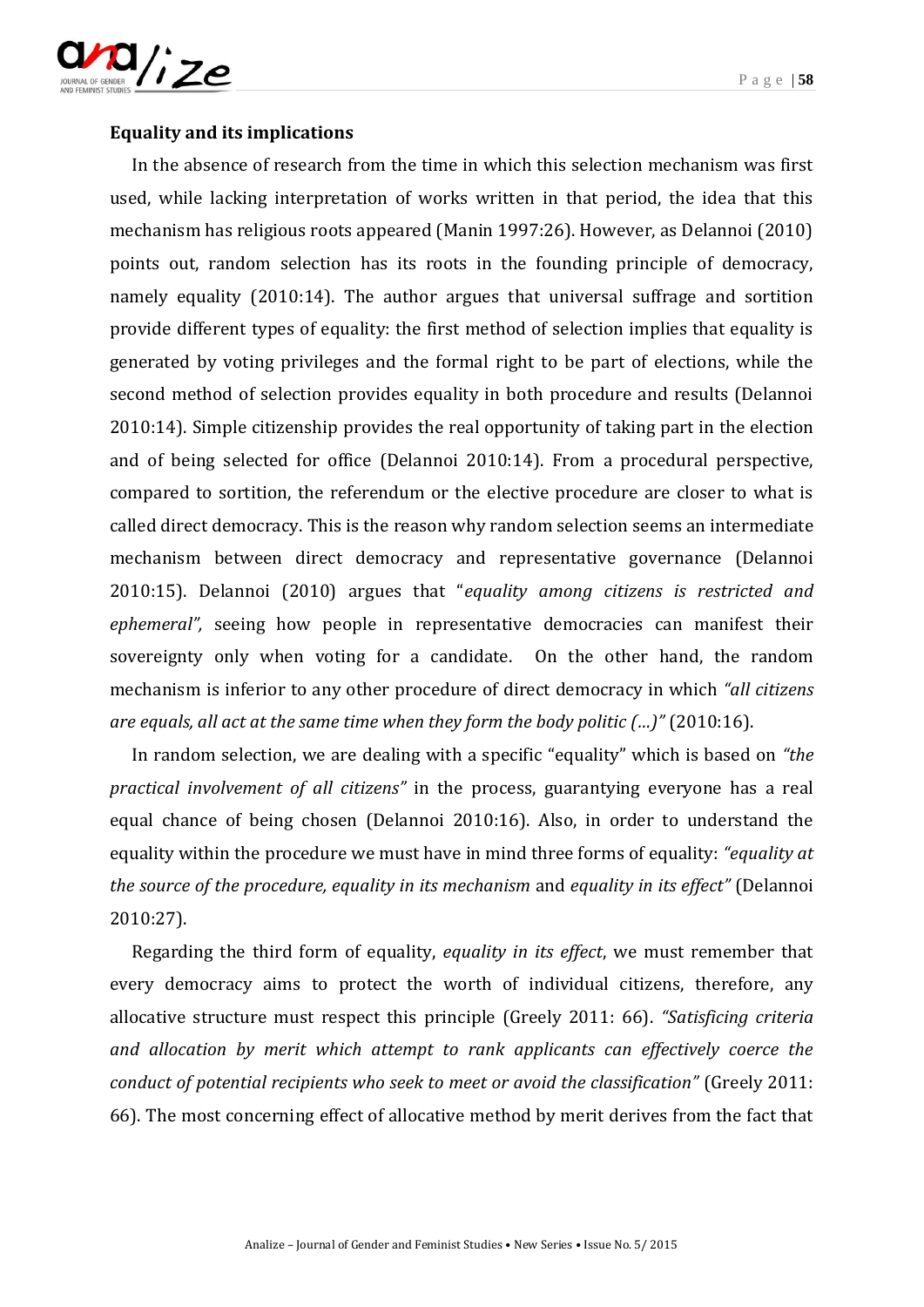



# **[Equality and its implications](https://mvngu.wordpress.com/2011/06/12/equality-and-its-implications/)**

In the absence of research from the time in which this selection mechanism was first used, while lacking interpretation of works written in that period, the idea that this mechanism has religious roots appeared (Manin 1997:26). However, as Delannoi (2010) points out, random selection has its roots in the founding principle of democracy, namely equality (2010:14). The author argues that universal suffrage and sortition provide different types of equality: the first method of selection implies that equality is generated by voting privileges and the formal right to be part of elections, while the second method of selection provides equality in both procedure and results (Delannoi 2010:14). Simple citizenship provides the real opportunity of taking part in the election and of being selected for office (Delannoi 2010:14). From a procedural perspective, compared to sortition, the referendum or the elective procedure are closer to what is called direct democracy. This is the reason why random selection seems an intermediate mechanism between direct democracy and representative governance (Delannoi 2010:15). Delannoi (2010) argues that "*equality among citizens is restricted and ephemeral",* seeing how people in representative democracies can manifest their sovereignty only when voting for a candidate.On the other hand, the random mechanism is inferior to any other procedure of direct democracy in which *"all citizens are equals, all act at the same time when they form the body politic (…)"* (2010:16).

In random selection, we are dealing with a specific "equality" which is based on *"the practical involvement of all citizens"* in the process, guarantying everyone has a real equal chance of being chosen (Delannoi 2010:16). Also, in order to understand the equality within the procedure we must have in mind three forms of equality: *"equality at the source of the procedure, equality in its mechanism* and *equality in its effect"* (Delannoi 2010:27).

Regarding the third form of equality, *equality in its effect*, we must remember that every democracy aims to protect the worth of individual citizens, therefore, any allocative structure must respect this principle (Greely 2011: 66). *"Satisficing criteria and allocation by merit which attempt to rank applicants can effectively coerce the conduct of potential recipients who seek to meet or avoid the classification"* (Greely 2011: 66). The most concerning effect of allocative method by merit derives from the fact that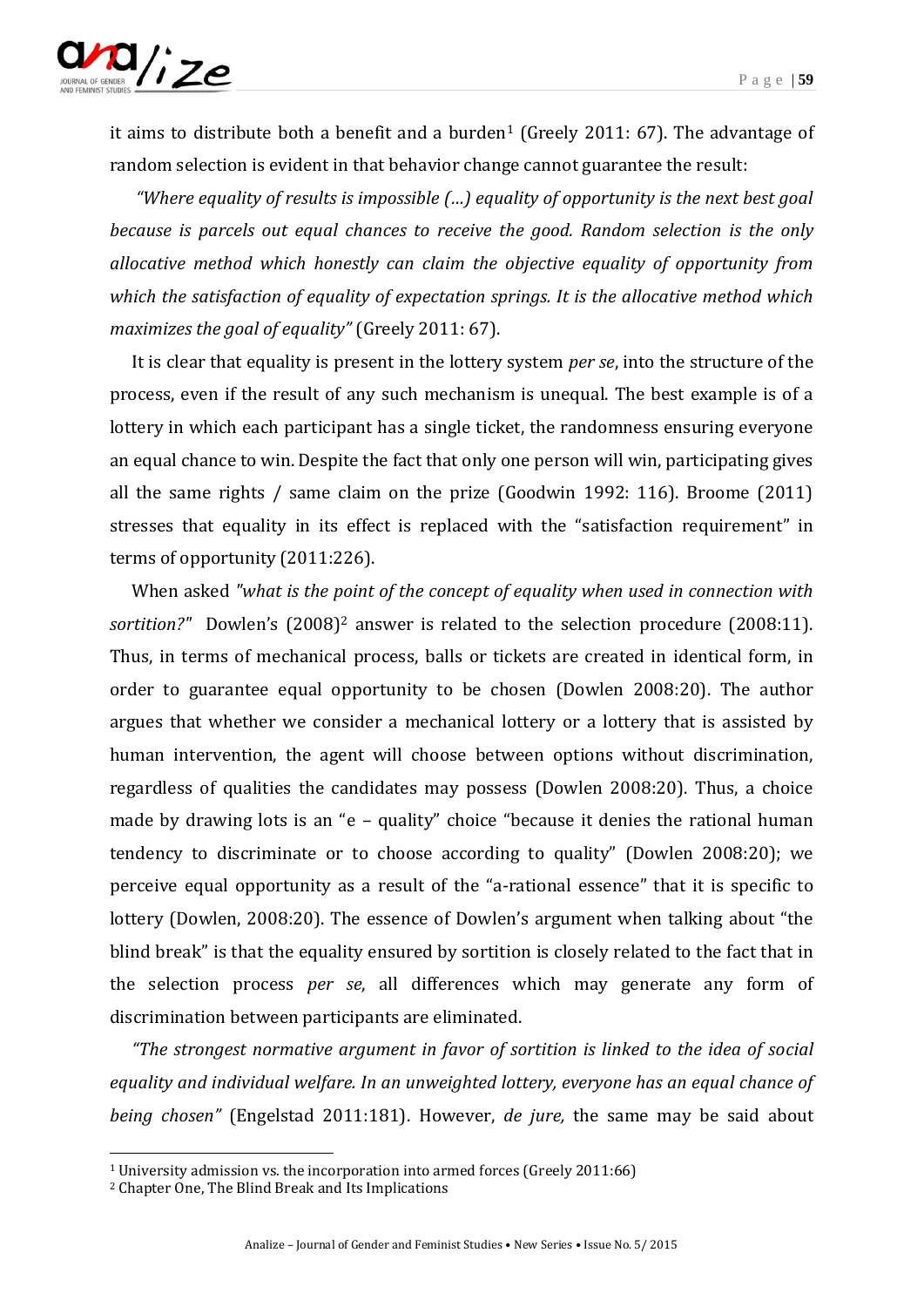

it aims to distribute both a benefit and a burden<sup>1</sup> (Greely 2011: 67). The advantage of random selection is evident in that behavior change cannot guarantee the result:

*"Where equality of results is impossible (…) equality of opportunity is the next best goal because is parcels out equal chances to receive the good. Random selection is the only allocative method which honestly can claim the objective equality of opportunity from which the satisfaction of equality of expectation springs. It is the allocative method which maximizes the goal of equality"* (Greely 2011: 67).

It is clear that equality is present in the lottery system *per se*, into the structure of the process, even if the result of any such mechanism is unequal. The best example is of a lottery in which each participant has a single ticket, the randomness ensuring everyone an equal chance to win. Despite the fact that only one person will win, participating gives all the same rights / same claim on the prize (Goodwin 1992: 116). Broome (2011) stresses that equality in its effect is replaced with the "satisfaction requirement" in terms of opportunity (2011:226).

When asked *"what is the point of the concept of equality when used in connection with sortition?"* Dowlen's (2008)<sup>2</sup> answer is related to the selection procedure (2008:11). Thus, in terms of mechanical process, balls or tickets are created in identical form, in order to guarantee equal opportunity to be chosen (Dowlen 2008:20). The author argues that whether we consider a mechanical lottery or a lottery that is assisted by human intervention, the agent will choose between options without discrimination, regardless of qualities the candidates may possess (Dowlen 2008:20). Thus, a choice made by drawing lots is an "e – quality" choice "because it denies the rational human tendency to discriminate or to choose according to quality" (Dowlen 2008:20); we perceive equal opportunity as a result of the "a-rational essence" that it is specific to lottery (Dowlen, 2008:20). The essence of Dowlen's argument when talking about "the blind break" is that the equality ensured by sortition is closely related to the fact that in the selection process *per se*, all differences which may generate any form of discrimination between participants are eliminated.

*"The strongest normative argument in favor of sortition is linked to the idea of social equality and individual welfare. In an unweighted lottery, everyone has an equal chance of being chosen"* (Engelstad 2011:181). However, *de jure,* the same may be said about

<sup>&</sup>lt;sup>1</sup> University admission vs. the incorporation into armed forces (Greely 2011:66)

<sup>2</sup> Chapter One, The Blind Break and Its Implications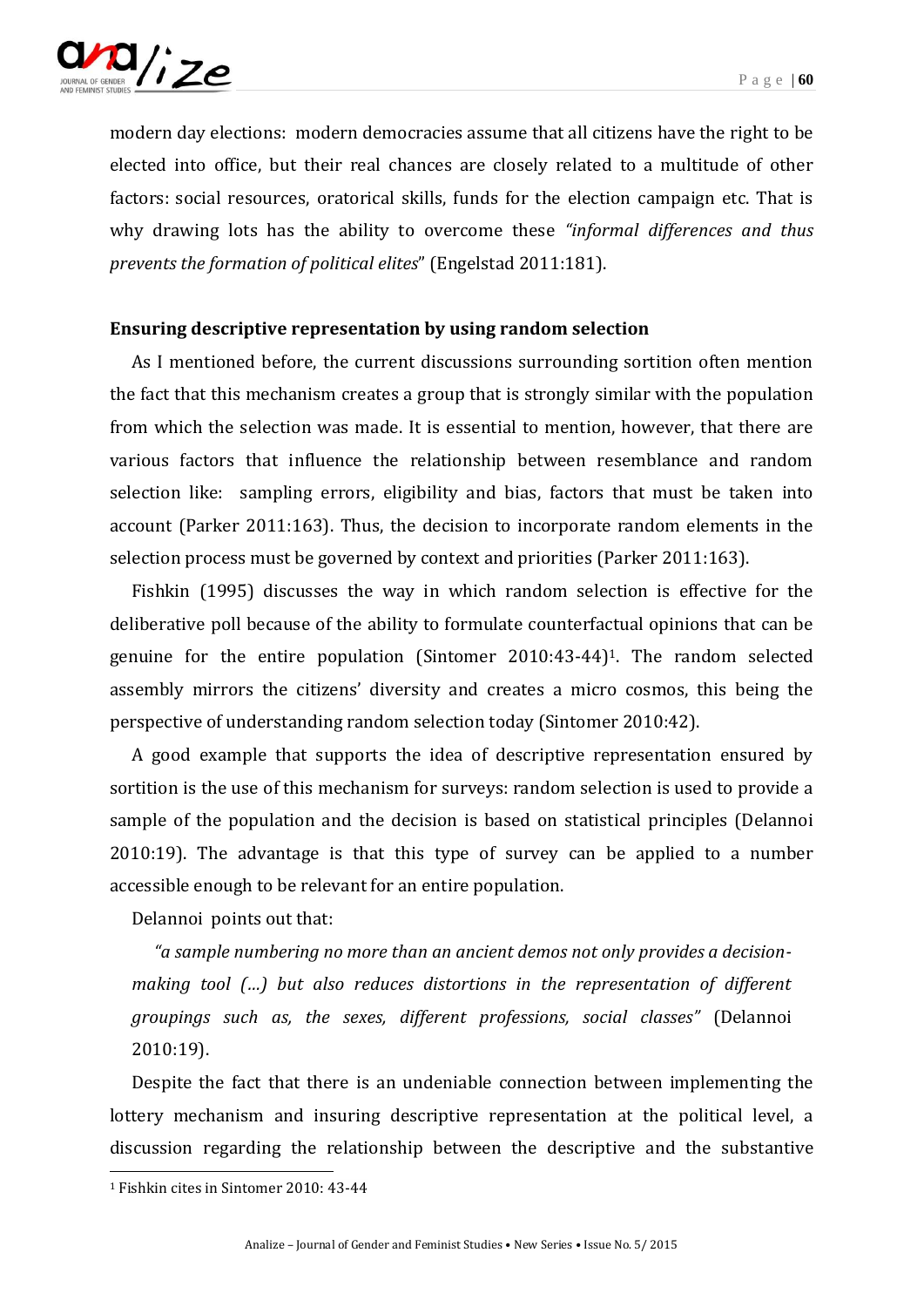

modern day elections: modern democracies assume that all citizens have the right to be elected into office, but their real chances are closely related to a multitude of other factors: social resources, oratorical skills, funds for the election campaign etc. That is why drawing lots has the ability to overcome these *"informal differences and thus prevents the formation of political elites*" (Engelstad 2011:181).

#### **Ensuring descriptive representation by using random selection**

As I mentioned before, the current discussions surrounding sortition often mention the fact that this mechanism creates a group that is strongly similar with the population from which the selection was made. It is essential to mention, however, that there are various factors that influence the relationship between resemblance and random selection like: sampling errors, eligibility and bias, factors that must be taken into account (Parker 2011:163). Thus, the decision to incorporate random elements in the selection process must be governed by context and priorities (Parker 2011:163).

Fishkin (1995) discusses the way in which random selection is effective for the deliberative poll because of the ability to formulate counterfactual opinions that can be genuine for the entire population (Sintomer 2010:43-44)1. The random selected assembly mirrors the citizens' diversity and creates a micro cosmos, this being the perspective of understanding random selection today (Sintomer 2010:42).

A good example that supports the idea of descriptive representation ensured by sortition is the use of this mechanism for surveys: random selection is used to provide a sample of the population and the decision is based on statistical principles (Delannoi 2010:19). The advantage is that this type of survey can be applied to a number accessible enough to be relevant for an entire population.

Delannoi points out that:

*"a sample numbering no more than an ancient demos not only provides a decision*making tool (...) but also reduces distortions in the representation of different *groupings such as, the sexes, different professions, social classes"* (Delannoi 2010:19).

Despite the fact that there is an undeniable connection between implementing the lottery mechanism and insuring descriptive representation at the political level, a discussion regarding the relationship between the descriptive and the substantive

<sup>1</sup> Fishkin cites in Sintomer 2010: 43-44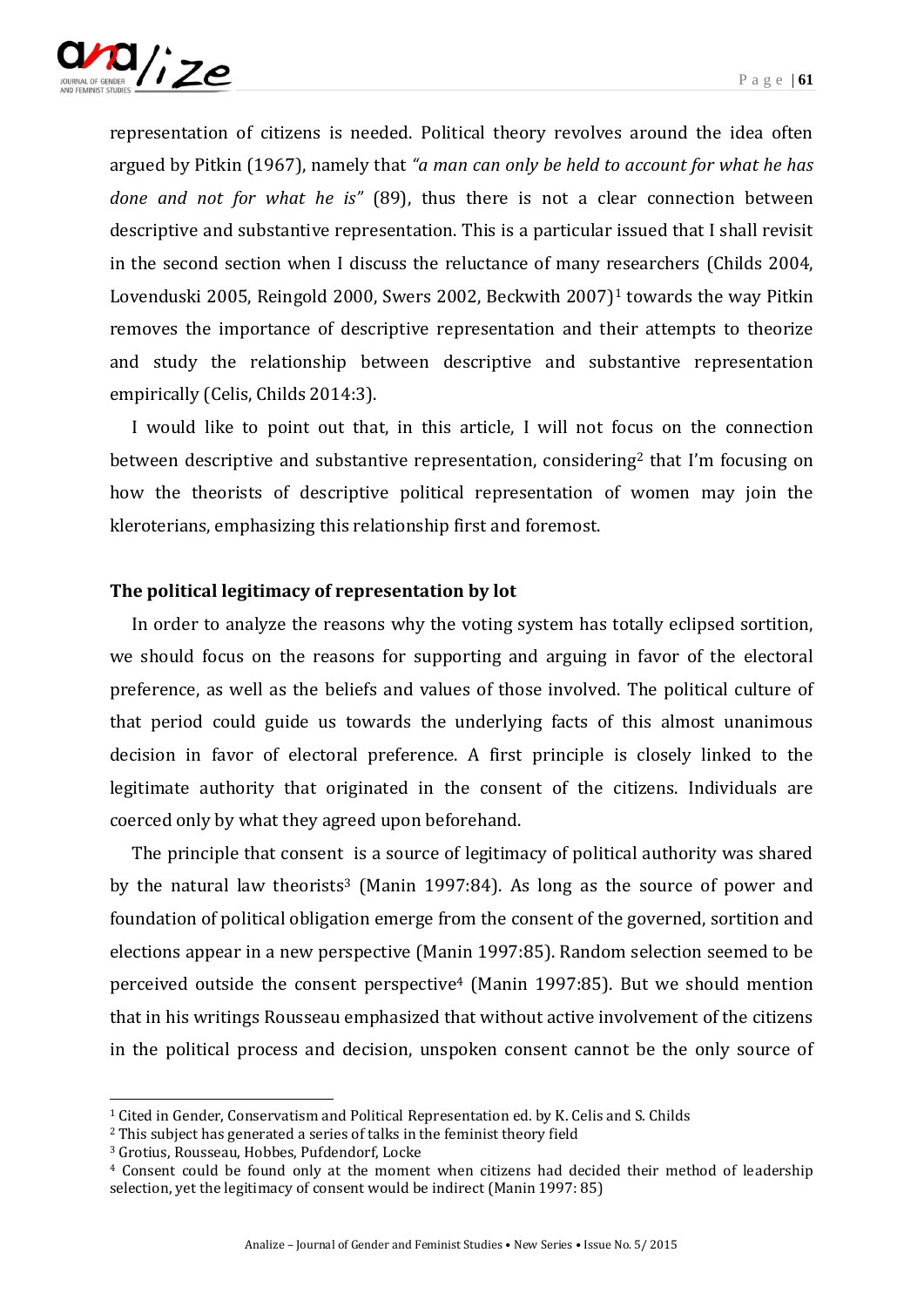

representation of citizens is needed. Political theory revolves around the idea often argued by Pitkin (1967), namely that *"a man can only be held to account for what he has done and not for what he is"* (89), thus there is not a clear connection between descriptive and substantive representation. This is a particular issued that I shall revisit in the second section when I discuss the reluctance of many researchers (Childs 2004, Lovenduski 2005, Reingold 2000, Swers 2002, Beckwith 2007)<sup>1</sup> towards the way Pitkin removes the importance of descriptive representation and their attempts to theorize and study the relationship between descriptive and substantive representation empirically (Celis, Childs 2014:3).

I would like to point out that, in this article, I will not focus on the connection between descriptive and substantive representation, considering<sup>2</sup> that I'm focusing on how the theorists of descriptive political representation of women may join the kleroterians, emphasizing this relationship first and foremost.

#### **The political legitimacy of representation by lot**

In order to analyze the reasons why the voting system has totally eclipsed sortition, we should focus on the reasons for supporting and arguing in favor of the electoral preference, as well as the beliefs and values of those involved. The political culture of that period could guide us towards the underlying facts of this almost unanimous decision in favor of electoral preference. A first principle is closely linked to the legitimate authority that originated in the consent of the citizens. Individuals are coerced only by what they agreed upon beforehand.

The principle that consent is a source of legitimacy of political authority was shared by the natural law theorists<sup>3</sup> (Manin 1997:84). As long as the source of power and foundation of political obligation emerge from the consent of the governed, sortition and elections appear in a new perspective (Manin 1997:85). Random selection seemed to be perceived outside the consent perspective<sup>4</sup> (Manin 1997:85). But we should mention that in his writings Rousseau emphasized that without active involvement of the citizens in the political process and decision, unspoken consent cannot be the only source of

<sup>1</sup> Cited in Gender, Conservatism and Political Representation ed. by K. Celis and S. Childs

<sup>2</sup> This subject has generated a series of talks in the feminist theory field

<sup>3</sup> Grotius, Rousseau, Hobbes, Pufdendorf, Locke

<sup>4</sup> Consent could be found only at the moment when citizens had decided their method of leadership selection, yet the legitimacy of consent would be indirect (Manin 1997: 85)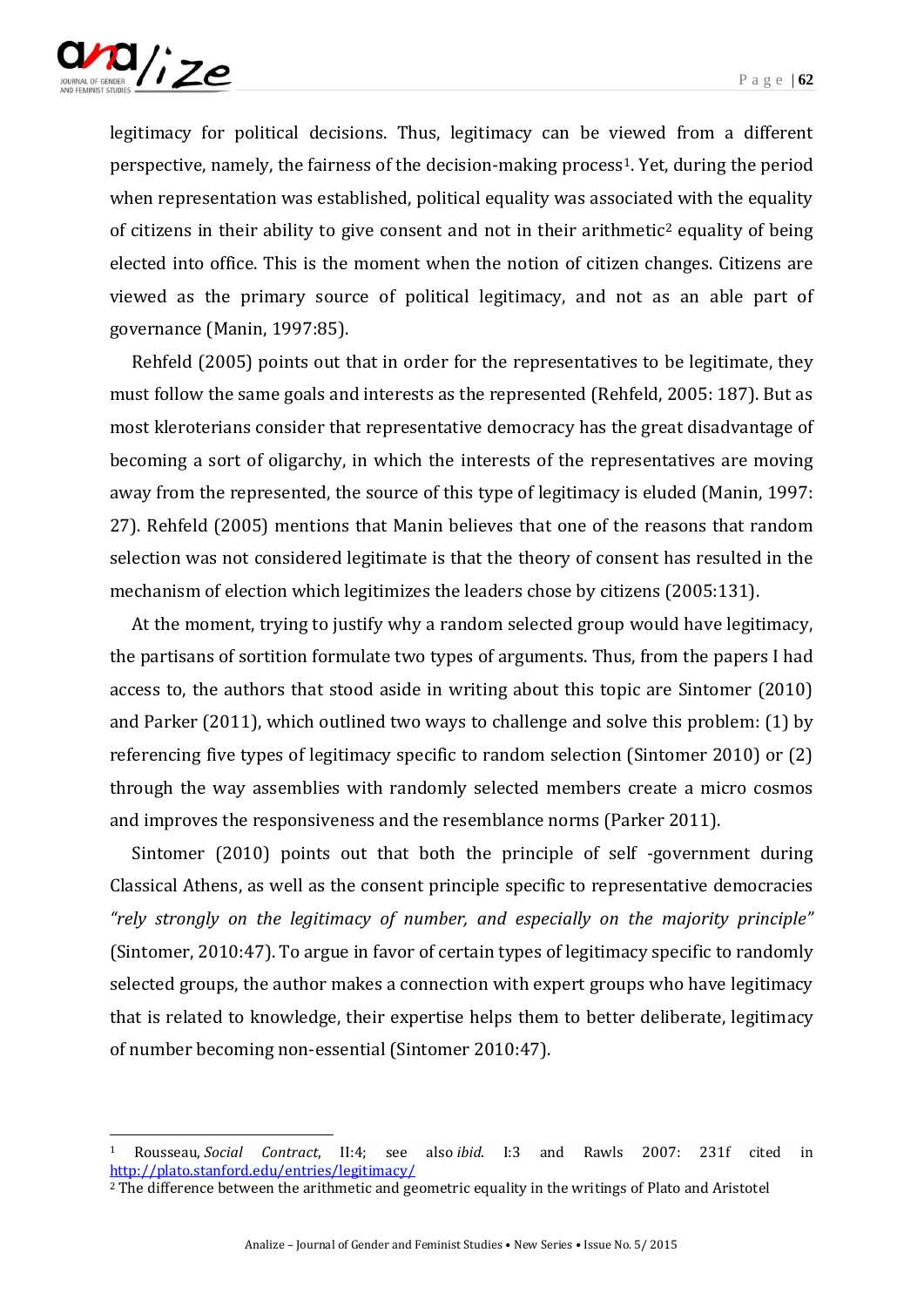

-

legitimacy for political decisions. Thus, legitimacy can be viewed from a different perspective, namely, the fairness of the decision-making process1. Yet, during the period when representation was established, political equality was associated with the equality of citizens in their ability to give consent and not in their arithmetic<sup>2</sup> equality of being elected into office. This is the moment when the notion of citizen changes. Citizens are viewed as the primary source of political legitimacy, and not as an able part of governance (Manin, 1997:85).

Rehfeld (2005) points out that in order for the representatives to be legitimate, they must follow the same goals and interests as the represented (Rehfeld, 2005: 187). But as most kleroterians consider that representative democracy has the great disadvantage of becoming a sort of oligarchy, in which the interests of the representatives are moving away from the represented, the source of this type of legitimacy is eluded (Manin, 1997: 27). Rehfeld (2005) mentions that Manin believes that one of the reasons that random selection was not considered legitimate is that the theory of consent has resulted in the mechanism of election which legitimizes the leaders chose by citizens (2005:131).

At the moment, trying to justify why a random selected group would have legitimacy, the partisans of sortition formulate two types of arguments. Thus, from the papers I had access to, the authors that stood aside in writing about this topic are Sintomer (2010) and Parker (2011), which outlined two ways to challenge and solve this problem: (1) by referencing five types of legitimacy specific to random selection (Sintomer 2010) or (2) through the way assemblies with randomly selected members create a micro cosmos and improves the responsiveness and the resemblance norms (Parker 2011).

Sintomer (2010) points out that both the principle of self -government during Classical Athens, as well as the consent principle specific to representative democracies *"rely strongly on the legitimacy of number, and especially on the majority principle"*  (Sintomer, 2010:47). To argue in favor of certain types of legitimacy specific to randomly selected groups, the author makes a connection with expert groups who have legitimacy that is related to knowledge, their expertise helps them to better deliberate, legitimacy of number becoming non-essential (Sintomer 2010:47).

<sup>1</sup> Rousseau, *Social Contract*, II:4; see also *ibid*. I:3 and Rawls 2007: 231f cited in <http://plato.stanford.edu/entries/legitimacy/>

<sup>&</sup>lt;sup>2</sup> The difference between the arithmetic and geometric equality in the writings of Plato and Aristotel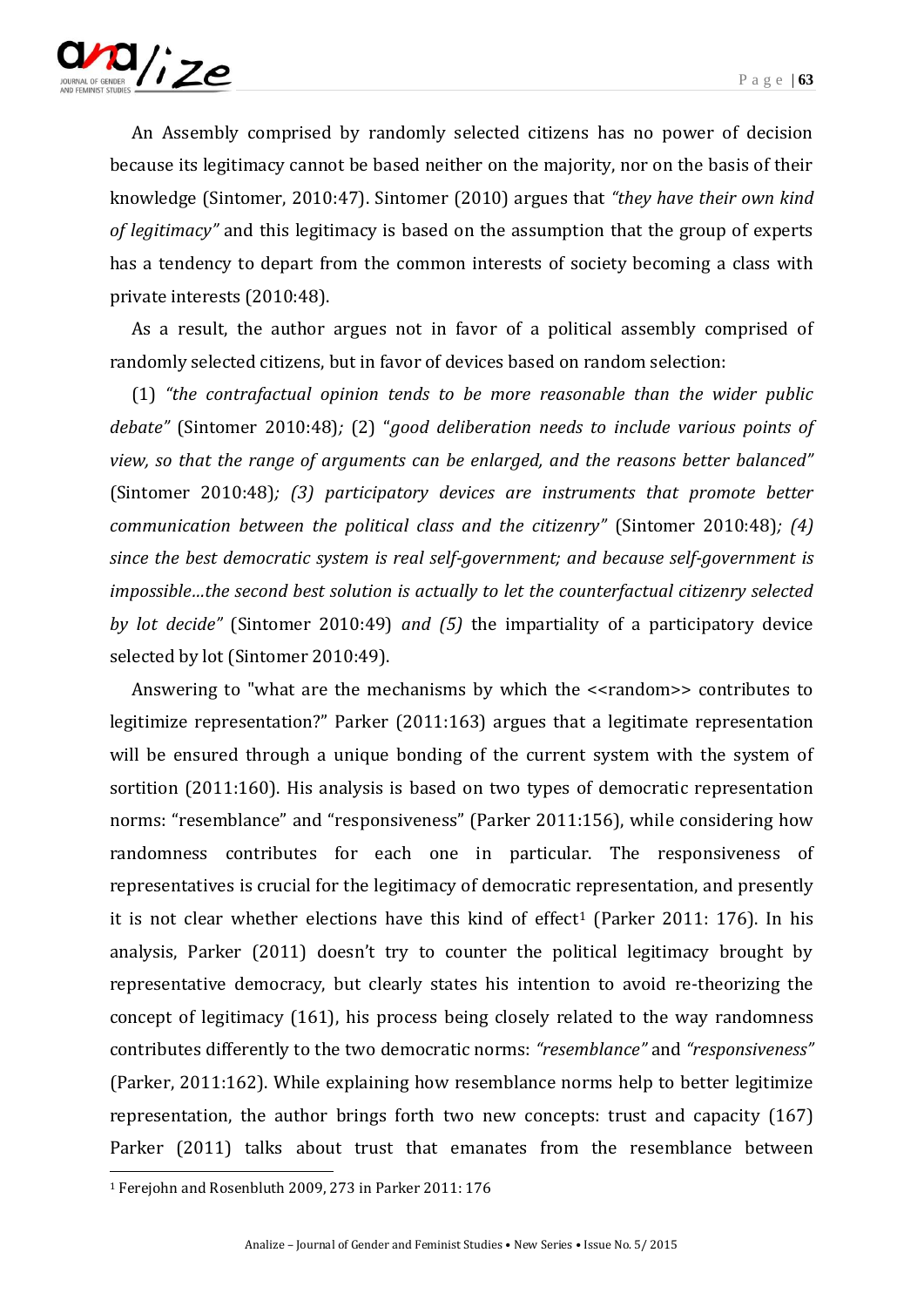

An Assembly comprised by randomly selected citizens has no power of decision because its legitimacy cannot be based neither on the majority, nor on the basis of their knowledge (Sintomer, 2010:47). Sintomer (2010) argues that *"they have their own kind of legitimacy"* and this legitimacy is based on the assumption that the group of experts has a tendency to depart from the common interests of society becoming a class with private interests (2010:48).

As a result, the author argues not in favor of a political assembly comprised of randomly selected citizens, but in favor of devices based on random selection:

(1) *"the contrafactual opinion tends to be more reasonable than the wider public debate"* (Sintomer 2010:48)*;* (2) "*good deliberation needs to include various points of view, so that the range of arguments can be enlarged, and the reasons better balanced"* (Sintomer 2010:48)*; (3) participatory devices are instruments that promote better communication between the political class and the citizenry"* (Sintomer 2010:48)*; (4) since the best democratic system is real self-government; and because self-government is impossible…the second best solution is actually to let the counterfactual citizenry selected by lot decide"* (Sintomer 2010:49) *and (5)* the impartiality of a participatory device selected by lot (Sintomer 2010:49).

Answering to "what are the mechanisms by which the <<random>> contributes to legitimize representation?" Parker (2011:163) argues that a legitimate representation will be ensured through a unique bonding of the current system with the system of sortition (2011:160). His analysis is based on two types of democratic representation norms: "resemblance" and "responsiveness" (Parker 2011:156), while considering how randomness contributes for each one in particular. The responsiveness of representatives is crucial for the legitimacy of democratic representation, and presently it is not clear whether elections have this kind of effect<sup>1</sup> (Parker 2011: 176). In his analysis, Parker (2011) doesn't try to counter the political legitimacy brought by representative democracy, but clearly states his intention to avoid re-theorizing the concept of legitimacy (161), his process being closely related to the way randomness contributes differently to the two democratic norms: *"resemblance"* and *"responsiveness"*  (Parker, 2011:162). While explaining how resemblance norms help to better legitimize representation, the author brings forth two new concepts: trust and capacity (167) Parker (2011) talks about trust that emanates from the resemblance between

<sup>1</sup> Ferejohn and Rosenbluth 2009, 273 in Parker 2011: 176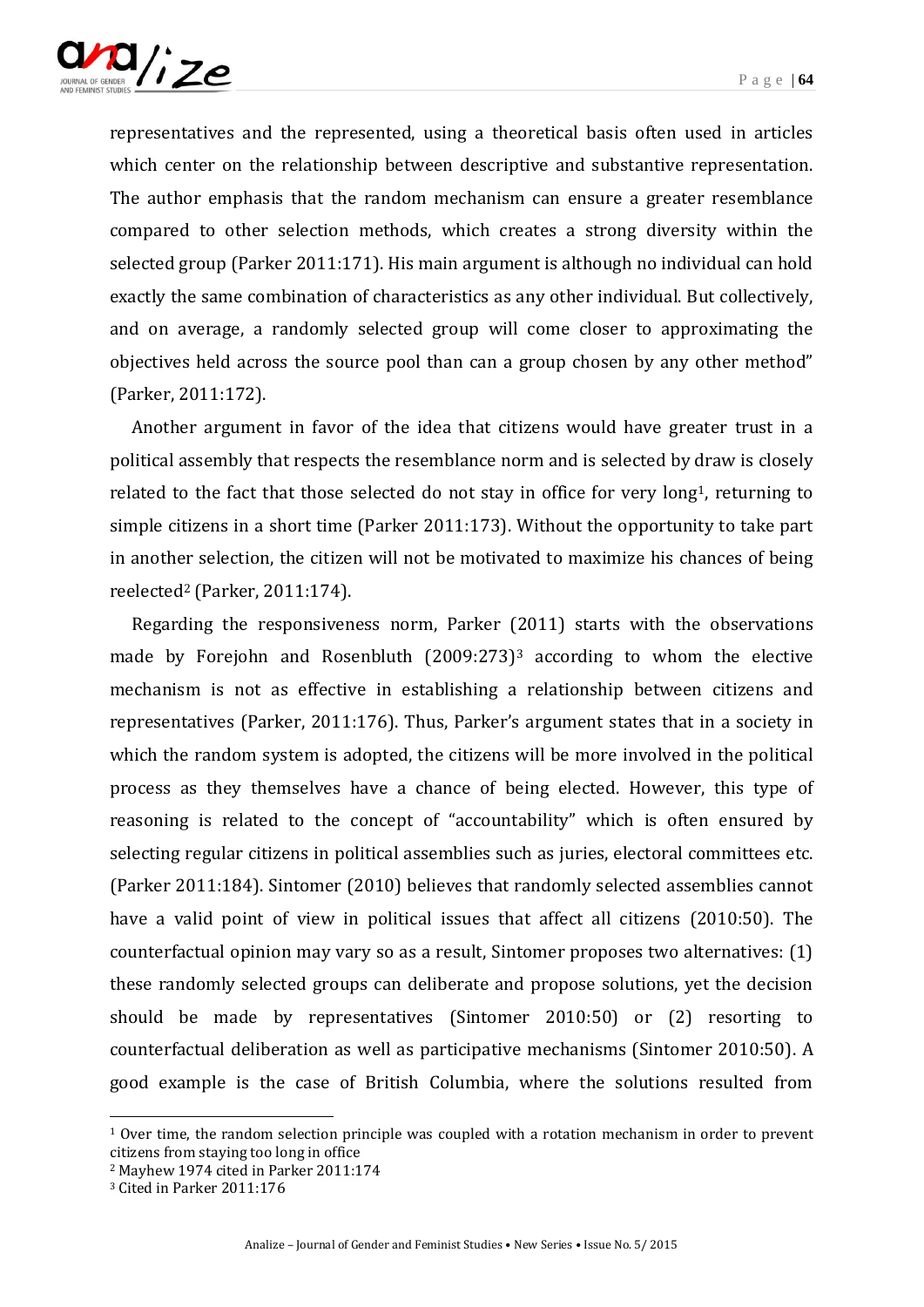

representatives and the represented, using a theoretical basis often used in articles which center on the relationship between descriptive and substantive representation. The author emphasis that the random mechanism can ensure a greater resemblance compared to other selection methods, which creates a strong diversity within the selected group (Parker 2011:171). His main argument is although no individual can hold exactly the same combination of characteristics as any other individual. But collectively, and on average, a randomly selected group will come closer to approximating the objectives held across the source pool than can a group chosen by any other method" (Parker, 2011:172).

Another argument in favor of the idea that citizens would have greater trust in a political assembly that respects the resemblance norm and is selected by draw is closely related to the fact that those selected do not stay in office for very long<sup>1</sup>, returning to simple citizens in a short time (Parker 2011:173). Without the opportunity to take part in another selection, the citizen will not be motivated to maximize his chances of being reelected<sup>2</sup> (Parker, 2011:174).

Regarding the responsiveness norm, Parker (2011) starts with the observations made by Forejohn and Rosenbluth  $(2009:273)^3$  according to whom the elective mechanism is not as effective in establishing a relationship between citizens and representatives (Parker, 2011:176). Thus, Parker's argument states that in a society in which the random system is adopted, the citizens will be more involved in the political process as they themselves have a chance of being elected. However, this type of reasoning is related to the concept of "accountability" which is often ensured by selecting regular citizens in political assemblies such as juries, electoral committees etc. (Parker 2011:184). Sintomer (2010) believes that randomly selected assemblies cannot have a valid point of view in political issues that affect all citizens (2010:50). The counterfactual opinion may vary so as a result, Sintomer proposes two alternatives: (1) these randomly selected groups can deliberate and propose solutions, yet the decision should be made by representatives (Sintomer 2010:50) or (2) resorting to counterfactual deliberation as well as participative mechanisms (Sintomer 2010:50). A good example is the case of British Columbia, where the solutions resulted from

1

<sup>1</sup> Over time, the random selection principle was coupled with a rotation mechanism in order to prevent citizens from staying too long in office

<sup>2</sup> Mayhew 1974 cited in Parker 2011:174

<sup>3</sup> Cited in Parker 2011:176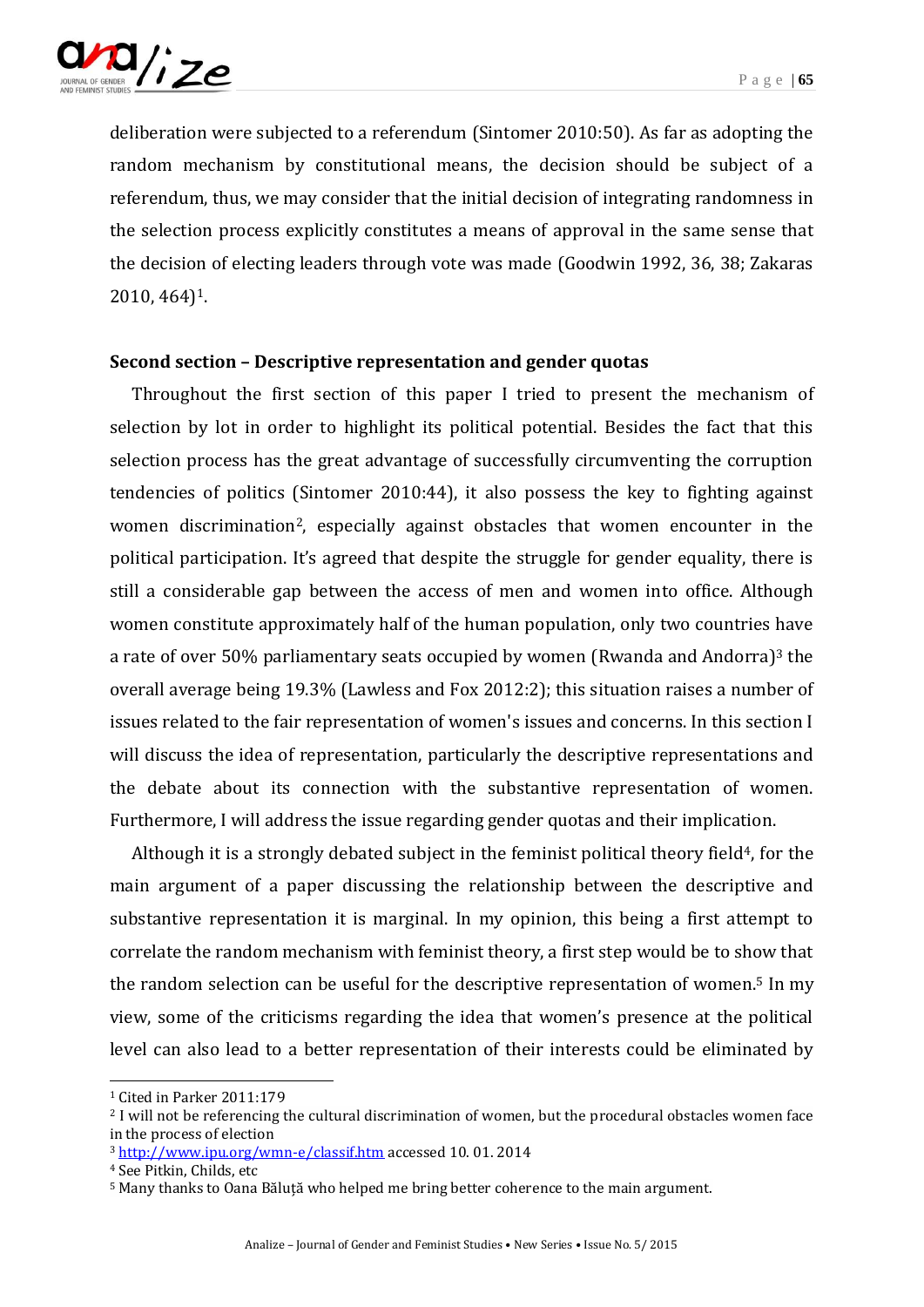

deliberation were subjected to a referendum (Sintomer 2010:50). As far as adopting the random mechanism by constitutional means, the decision should be subject of a referendum, thus, we may consider that the initial decision of integrating randomness in the selection process explicitly constitutes a means of approval in the same sense that the decision of electing leaders through vote was made (Goodwin 1992, 36, 38; Zakaras 2010, 464)1.

#### **Second section – Descriptive representation and gender quotas**

Throughout the first section of this paper I tried to present the mechanism of selection by lot in order to highlight its political potential. Besides the fact that this selection process has the great advantage of successfully circumventing the corruption tendencies of politics (Sintomer 2010:44), it also possess the key to fighting against women discrimination<sup>2</sup>, especially against obstacles that women encounter in the political participation. It's agreed that despite the struggle for gender equality, there is still a considerable gap between the access of men and women into office. Although women constitute approximately half of the human population, only two countries have a rate of over 50% parliamentary seats occupied by women (Rwanda and Andorra)<sup>3</sup> the overall average being 19.3% (Lawless and Fox 2012:2); this situation raises a number of issues related to the fair representation of women's issues and concerns. In this section I will discuss the idea of representation, particularly the descriptive representations and the debate about its connection with the substantive representation of women. Furthermore, I will address the issue regarding gender quotas and their implication.

Although it is a strongly debated subject in the feminist political theory field<sup>4</sup>, for the main argument of a paper discussing the relationship between the descriptive and substantive representation it is marginal. In my opinion, this being a first attempt to correlate the random mechanism with feminist theory, a first step would be to show that the random selection can be useful for the descriptive representation of women.<sup>5</sup> In my view, some of the criticisms regarding the idea that women's presence at the political level can also lead to a better representation of their interests could be eliminated by

 $\overline{a}$ 

<sup>1</sup> Cited in Parker 2011:179

<sup>2</sup> I will not be referencing the cultural discrimination of women, but the procedural obstacles women face in the process of election

<sup>3</sup> <http://www.ipu.org/wmn-e/classif.htm> accessed 10. 01. 2014

<sup>4</sup> See Pitkin, Childs, etc

<sup>5</sup> Many thanks to Oana Băluță who helped me bring better coherence to the main argument.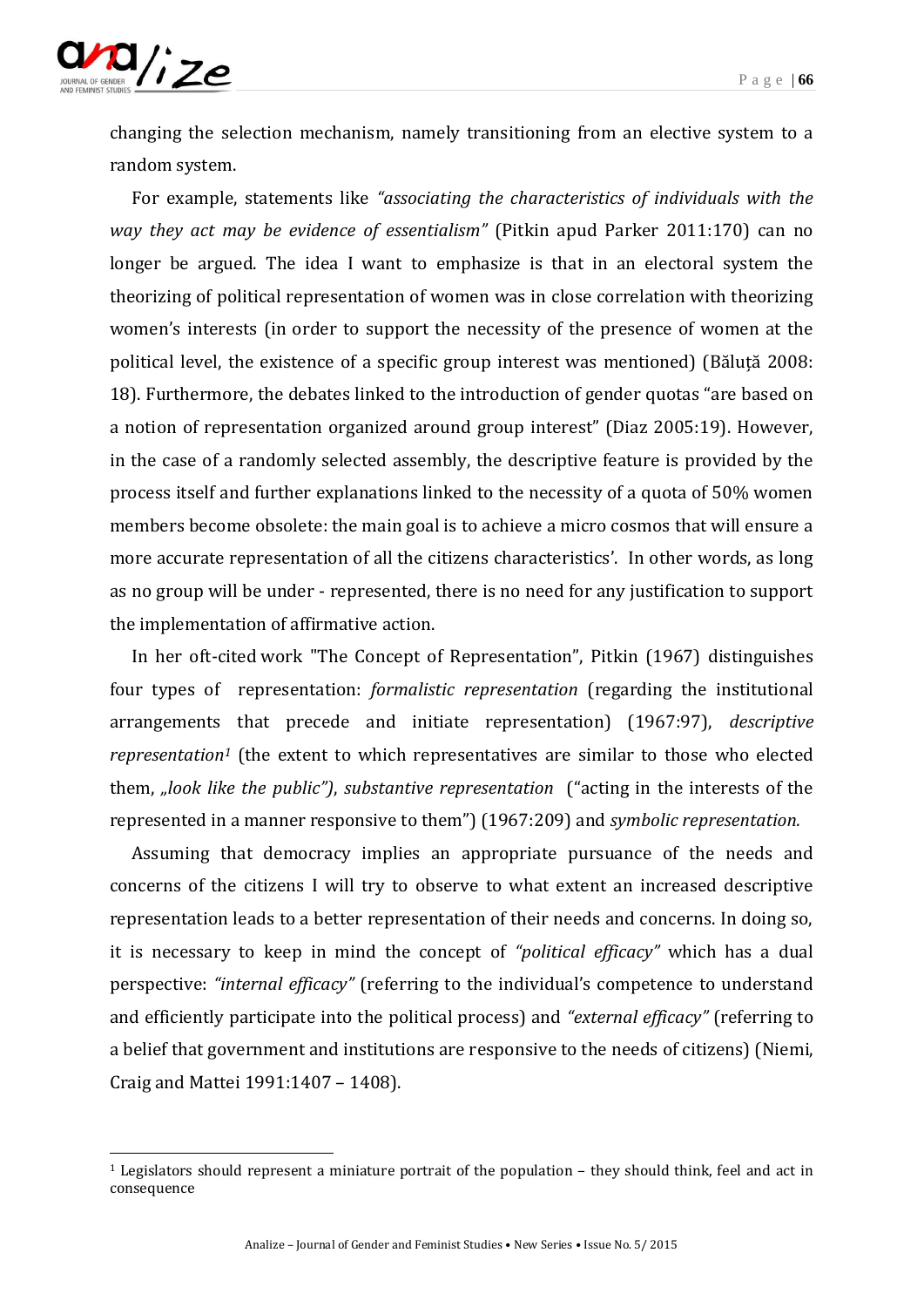

-

changing the selection mechanism, namely transitioning from an elective system to a random system.

For example, statements like *"associating the characteristics of individuals with the way they act may be evidence of essentialism"* (Pitkin apud Parker 2011:170) can no longer be argued. The idea I want to emphasize is that in an electoral system the theorizing of political representation of women was in close correlation with theorizing women's interests (in order to support the necessity of the presence of women at the political level, the existence of a specific group interest was mentioned) (Băluță 2008: 18). Furthermore, the debates linked to the introduction of gender quotas "are based on a notion of representation organized around group interest" (Diaz 2005:19). However, in the case of a randomly selected assembly, the descriptive feature is provided by the process itself and further explanations linked to the necessity of a quota of 50% women members become obsolete: the main goal is to achieve a micro cosmos that will ensure a more accurate representation of all the citizens characteristics'. In other words, as long as no group will be under - represented, there is no need for any justification to support the implementation of affirmative action.

In her oft-cited work "The Concept of Representation", Pitkin (1967) distinguishes four types of representation: *formalistic representation* (regarding the institutional arrangements that precede and initiate representation) (1967:97), *descriptive representation<sup>1</sup>* (the extent to which representatives are similar to those who elected them, *"look like the public")*, *substantive representation* ("acting in the interests of the represented in a manner responsive to them") (1967:209) and *symbolic representation.*

Assuming that democracy implies an appropriate pursuance of the needs and concerns of the citizens I will try to observe to what extent an increased descriptive representation leads to a better representation of their needs and concerns. In doing so, it is necessary to keep in mind the concept of *"political efficacy"* which has a dual perspective: *"internal efficacy"* (referring to the individual's competence to understand and efficiently participate into the political process) and *"external efficacy"* (referring to a belief that government and institutions are responsive to the needs of citizens) (Niemi, Craig and Mattei 1991:1407 – 1408).

 $1$  Legislators should represent a miniature portrait of the population  $-$  they should think, feel and act in consequence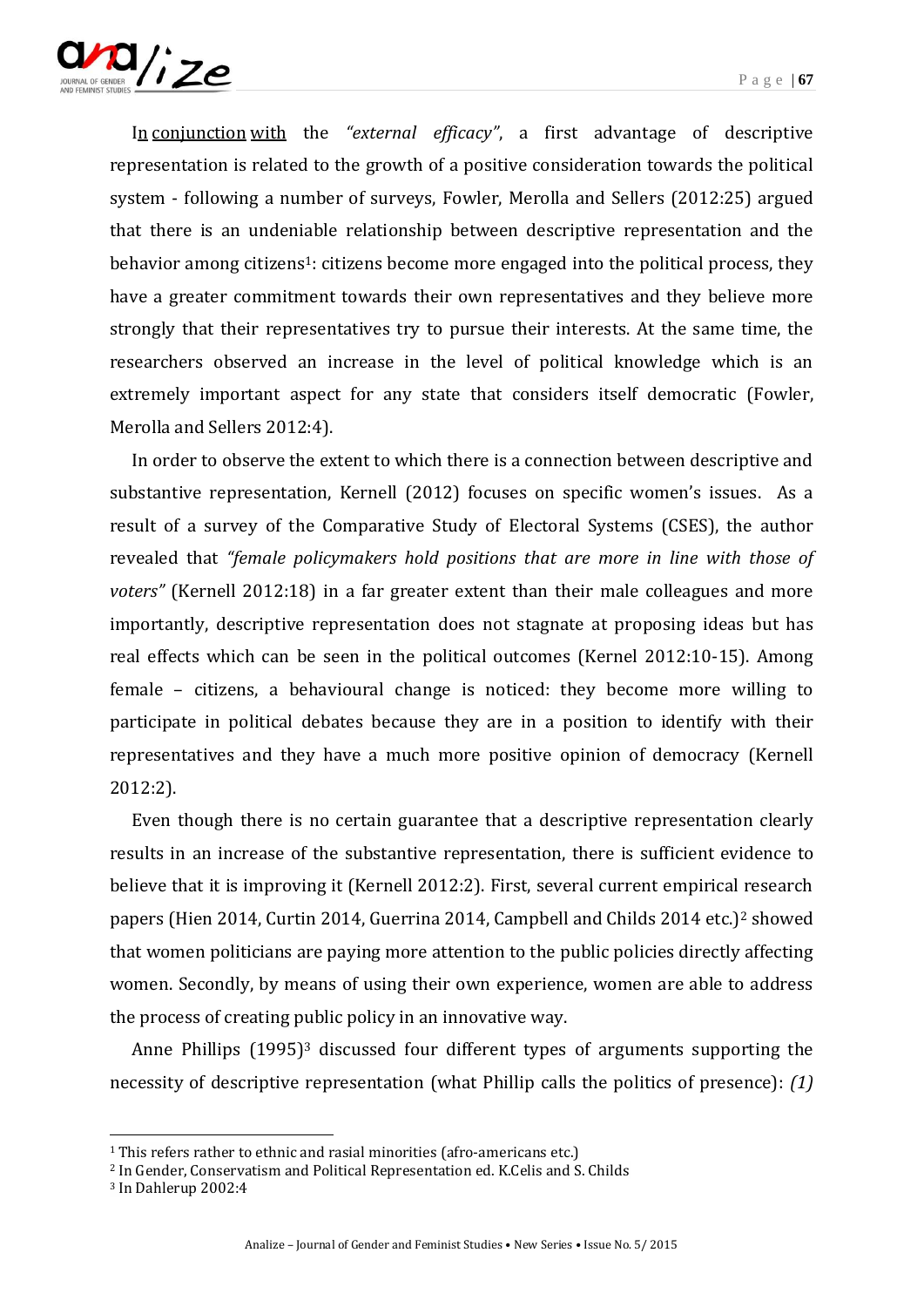

[In](http://hallo.ro/search.do?l=ro&d=en&query=in) [conjunction](http://hallo.ro/search.do?l=ro&d=en&query=conjunction) [with](http://hallo.ro/search.do?l=ro&d=en&query=with) the *"external efficacy"*, a first advantage of descriptive representation is related to the growth of a positive consideration towards the political system - following a number of surveys, Fowler, Merolla and Sellers (2012:25) argued that there is an undeniable relationship between descriptive representation and the behavior among citizens<sup>1</sup>: citizens become more engaged into the political process, they have a greater commitment towards their own representatives and they believe more strongly that their representatives try to pursue their interests. At the same time, the researchers observed an increase in the level of political knowledge which is an extremely important aspect for any state that considers itself democratic (Fowler, Merolla and Sellers 2012:4).

In order to observe the extent to which there is a connection between descriptive and substantive representation, Kernell (2012) focuses on specific women's issues. As a result of a survey of the Comparative Study of Electoral Systems (CSES), the author revealed that *"female policymakers hold positions that are more in line with those of voters"* (Kernell 2012:18) in a far greater extent than their male colleagues and more importantly, descriptive representation does not stagnate at proposing ideas but has real effects which can be seen in the political outcomes (Kernel 2012:10-15). Among female – citizens, a behavioural change is noticed: they become more willing to participate in political debates because they are in a position to identify with their representatives and they have a much more positive opinion of democracy (Kernell 2012:2).

Even though there is no certain guarantee that a descriptive representation clearly results in an increase of the substantive representation, there is sufficient evidence to believe that it is improving it (Kernell 2012:2). First, several current empirical research papers (Hien 2014, Curtin 2014, Guerrina 2014, Campbell and Childs 2014 etc.)<sup>2</sup> showed that women politicians are paying more attention to the public policies directly affecting women. Secondly, by means of using their own experience, women are able to address the process of creating public policy in an innovative way.

Anne Phillips (1995)<sup>3</sup> discussed four different types of arguments supporting the necessity of descriptive representation (what Phillip calls the politics of presence): *(1)* 

<sup>&</sup>lt;sup>1</sup> This refers rather to ethnic and rasial minorities (afro-americans etc.)

<sup>2</sup> In Gender, Conservatism and Political Representation ed. K.Celis and S. Childs

<sup>3</sup> In Dahlerup 2002:4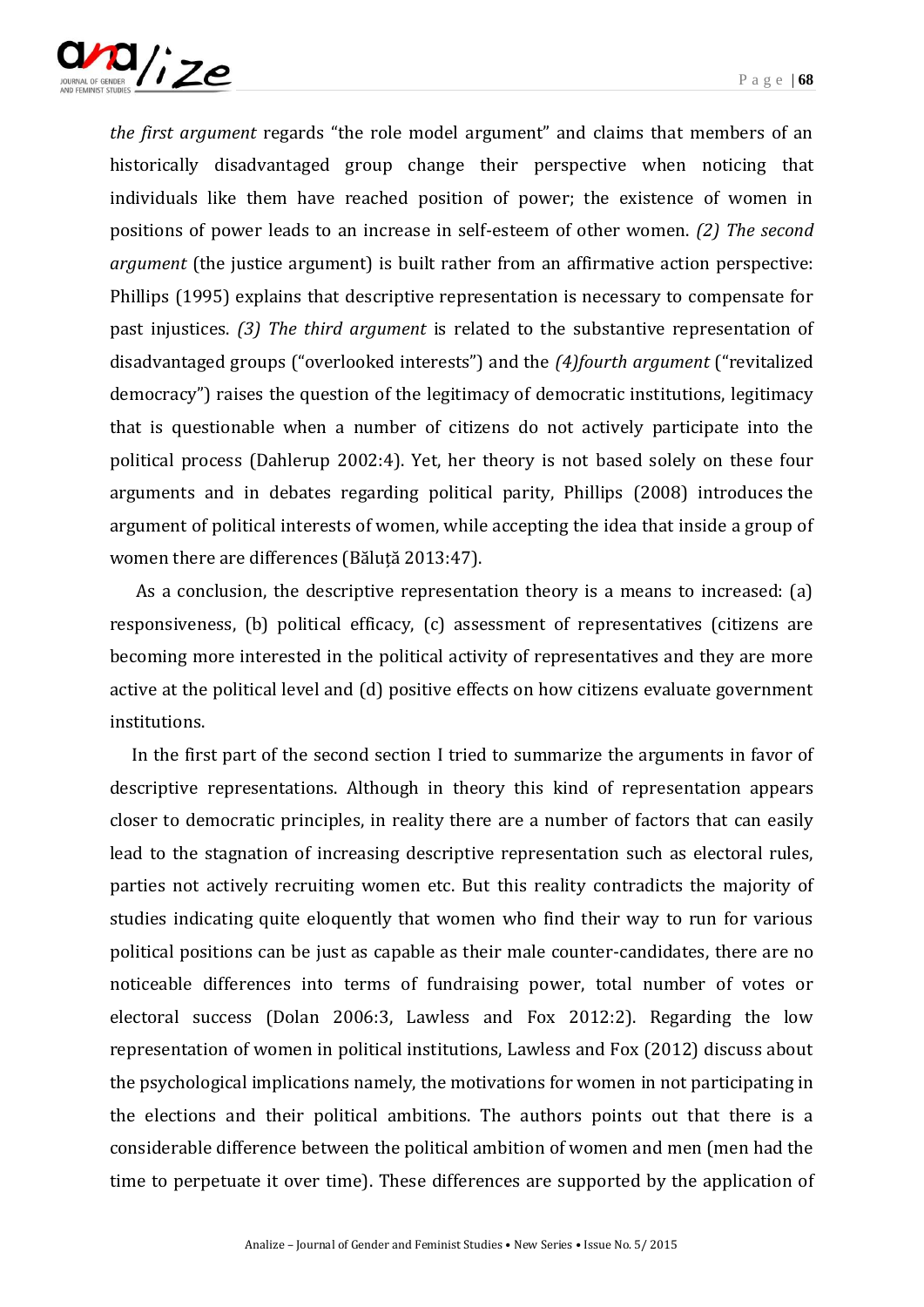

*the first argument* regards "the role model argument" and claims that members of an historically disadvantaged group change their perspective when noticing that individuals like them have reached position of power; the existence of women in positions of power leads to an increase in self-esteem of other women. *(2) The second argument* (the justice argument) is built rather from an affirmative action perspective: Phillips (1995) explains that descriptive representation is necessary to compensate for past injustices. *(3) The third argument* is related to the substantive representation of disadvantaged groups ("overlooked interests") and the *(4)fourth argument* ("revitalized democracy") raises the question of the legitimacy of democratic institutions, legitimacy that is questionable when a number of citizens do not actively participate into the political process (Dahlerup 2002:4). Yet, her theory is not based solely on these four arguments and in debates regarding political parity, Phillips (2008) introduces the argument of political interests of women, while accepting the idea that inside a group of women there are differences (Băluță 2013:47).

As a conclusion, the descriptive representation theory is a means to increased: (a) responsiveness, (b) political efficacy, (c) assessment of representatives (citizens are becoming more interested in the political activity of representatives and they are more active at the political level and (d) positive effects on how citizens evaluate government institutions.

In the first part of the second section I tried to summarize the arguments in favor of descriptive representations. Although in theory this kind of representation appears closer to democratic principles, in reality there are a number of factors that can easily lead to the stagnation of increasing descriptive representation such as electoral rules, parties not actively recruiting women etc. But this reality contradicts the majority of studies indicating quite eloquently that women who find their way to run for various political positions can be just as capable as their male counter-candidates, there are no noticeable differences into terms of fundraising power, total number of votes or electoral success (Dolan 2006:3, Lawless and Fox 2012:2). Regarding the low representation of women in political institutions, Lawless and Fox (2012) discuss about the psychological implications namely, the motivations for women in not participating in the elections and their political ambitions. The authors points out that there is a considerable difference between the political ambition of women and men (men had the time to perpetuate it over time). These differences are supported by the application of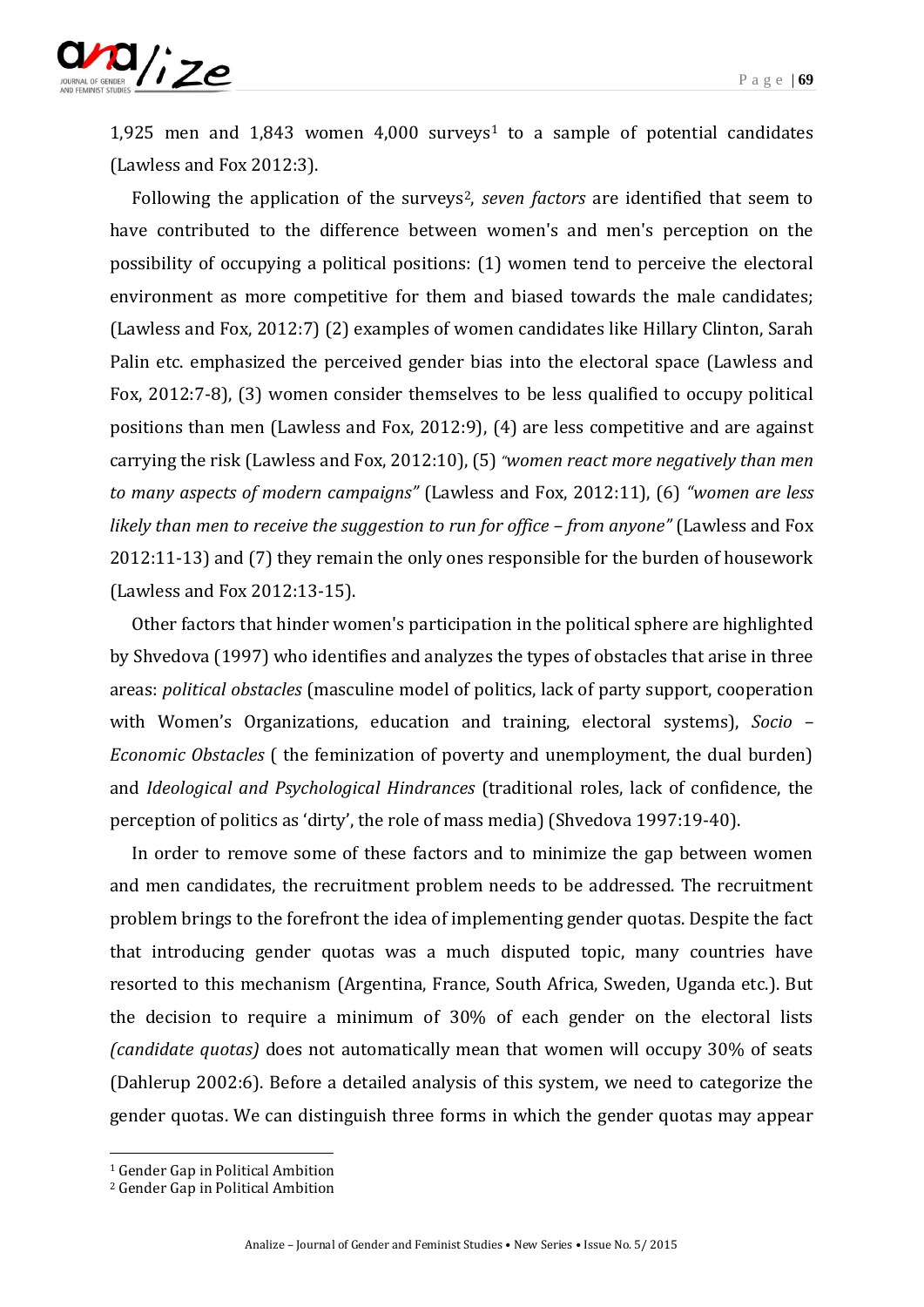

1,925 men and  $1,843$  women  $4,000$  surveys<sup>1</sup> to a sample of potential candidates (Lawless and Fox 2012:3).

Following the application of the surveys<sup>2</sup>, *seven factors* are identified that seem to have contributed to the difference between women's and men's perception on the possibility of occupying a political positions: (1) women tend to perceive the electoral environment as more competitive for them and biased towards the male candidates; (Lawless and Fox, 2012:7) (2) examples of women candidates like Hillary Clinton, Sarah Palin etc. emphasized the perceived gender bias into the electoral space (Lawless and Fox, 2012:7-8), (3) women consider themselves to be less qualified to occupy political positions than men (Lawless and Fox, 2012:9), (4) are less competitive and are against carrying the risk (Lawless and Fox, 2012:10), (5)*"women react more negatively than men to many aspects of modern campaigns"* (Lawless and Fox, 2012:11), (6) *"women are less likely than men to receive the suggestion to run for office – from anyone"* (Lawless and Fox 2012:11-13) and (7) they remain the only ones responsible for the burden of housework (Lawless and Fox 2012:13-15).

Other factors that hinder women's participation in the political sphere are highlighted by Shvedova (1997) who identifies and analyzes the types of obstacles that arise in three areas: *political obstacles* (masculine model of politics, lack of party support, cooperation with Women's Organizations, education and training, electoral systems), *Socio – Economic Obstacles* ( the feminization of poverty and unemployment, the dual burden) and *Ideological and Psychological Hindrances* (traditional roles, lack of confidence, the perception of politics as 'dirty', the role of mass media) (Shvedova 1997:19-40).

In order to remove some of these factors and to minimize the gap between women and men candidates, the recruitment problem needs to be addressed. The recruitment problem brings to the forefront the idea of implementing gender quotas. Despite the fact that introducing gender quotas was a much disputed topic, many countries have resorted to this mechanism (Argentina, France, South Africa, Sweden, Uganda etc.). But the decision to require a minimum of 30% of each gender on the electoral lists *(candidate quotas)* does not automatically mean that women will occupy 30% of seats (Dahlerup 2002:6). Before a detailed analysis of this system, we need to categorize the gender quotas. We can distinguish three forms in which the gender quotas may appear

<sup>1</sup> Gender Gap in Political Ambition

<sup>2</sup> Gender Gap in Political Ambition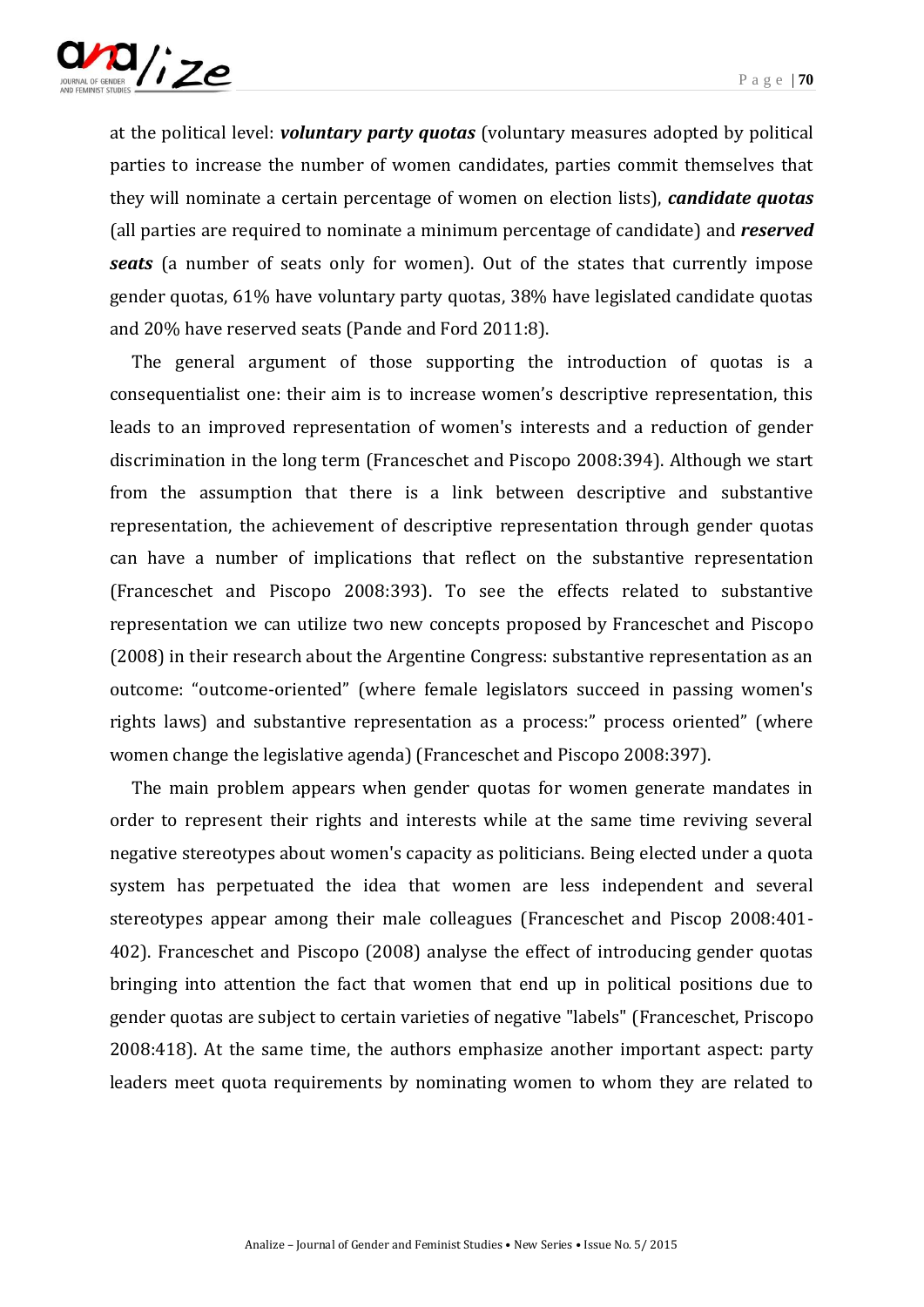

at the political level: *voluntary party quotas* (voluntary measures adopted by political parties to increase the number of women candidates, parties commit themselves that they will nominate a certain percentage of women on election lists), *candidate quotas*  (all parties are required to nominate a minimum percentage of candidate) and *reserved seats* (a number of seats only for women). Out of the states that currently impose gender quotas, 61% have voluntary party quotas, 38% have legislated candidate quotas and 20% have reserved seats (Pande and Ford 2011:8).

The general argument of those supporting the introduction of quotas is a consequentialist one: their aim is to increase women's descriptive representation, this leads to an improved representation of women's interests and a reduction of gender discrimination in the long term (Franceschet and Piscopo 2008:394). Although we start from the assumption that there is a link between descriptive and substantive representation, the achievement of descriptive representation through gender quotas can have a number of implications that reflect on the substantive representation (Franceschet and Piscopo 2008:393). To see the effects related to substantive representation we can utilize two new concepts proposed by Franceschet and Piscopo (2008) in their research about the Argentine Congress: substantive representation as an outcome: "outcome-oriented" (where female legislators succeed in passing women's rights laws) and substantive representation as a process:" process oriented" (where women change the legislative agenda) (Franceschet and Piscopo 2008:397).

The main problem appears when gender quotas for women generate mandates in order to represent their rights and interests while at the same time reviving several negative stereotypes about women's capacity as politicians. Being elected under a quota system has perpetuated the idea that women are less independent and several stereotypes appear among their male colleagues (Franceschet and Piscop 2008:401- 402). Franceschet and Piscopo (2008) analyse the effect of introducing gender quotas bringing into attention the fact that women that end up in political positions due to gender quotas are subject to certain varieties of negative "labels" (Franceschet, Priscopo 2008:418). At the same time, the authors emphasize another important aspect: party leaders meet quota requirements by nominating women to whom they are related to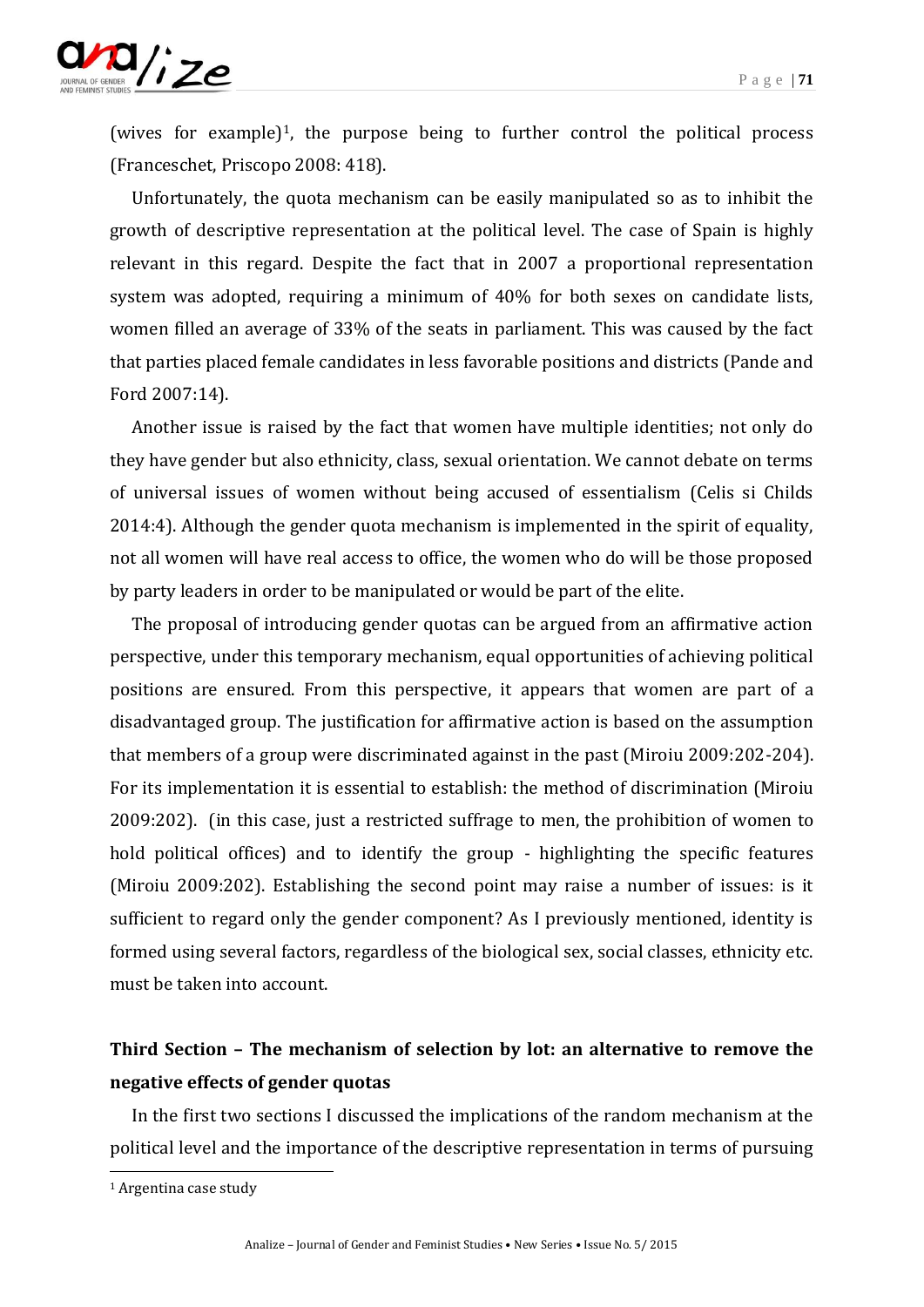

(wives for example)<sup>1</sup>, the purpose being to further control the political process (Franceschet, Priscopo 2008: 418).

Unfortunately, the quota mechanism can be easily manipulated so as to inhibit the growth of descriptive representation at the political level. The case of Spain is highly relevant in this regard. Despite the fact that in 2007 a proportional representation system was adopted, requiring a minimum of 40% for both sexes on candidate lists, women filled an average of 33% of the seats in parliament. This was caused by the fact that parties placed female candidates in less favorable positions and districts (Pande and Ford 2007:14).

Another issue is raised by the fact that women have multiple identities; not only do they have gender but also ethnicity, class, sexual orientation. We cannot debate on terms of universal issues of women without being accused of essentialism (Celis si Childs 2014:4). Although the gender quota mechanism is implemented in the spirit of equality, not all women will have real access to office, the women who do will be those proposed by party leaders in order to be manipulated or would be part of the elite.

The proposal of introducing gender quotas can be argued from an affirmative action perspective, under this temporary mechanism, equal opportunities of achieving political positions are ensured. From this perspective, it appears that women are part of a disadvantaged group. The justification for affirmative action is based on the assumption that members of a group were discriminated against in the past (Miroiu 2009:202-204). For its implementation it is essential to establish: the method of discrimination (Miroiu 2009:202). (in this case, just a restricted suffrage to men, the prohibition of women to hold political offices) and to identify the group - highlighting the specific features (Miroiu 2009:202). Establishing the second point may raise a number of issues: is it sufficient to regard only the gender component? As I previously mentioned, identity is formed using several factors, regardless of the biological sex, social classes, ethnicity etc. must be taken into account.

# **Third Section – The mechanism of selection by lot: an alternative to remove the negative effects of gender quotas**

In the first two sections I discussed the implications of the random mechanism at the political level and the importance of the descriptive representation in terms of pursuing

<sup>1</sup> Argentina case study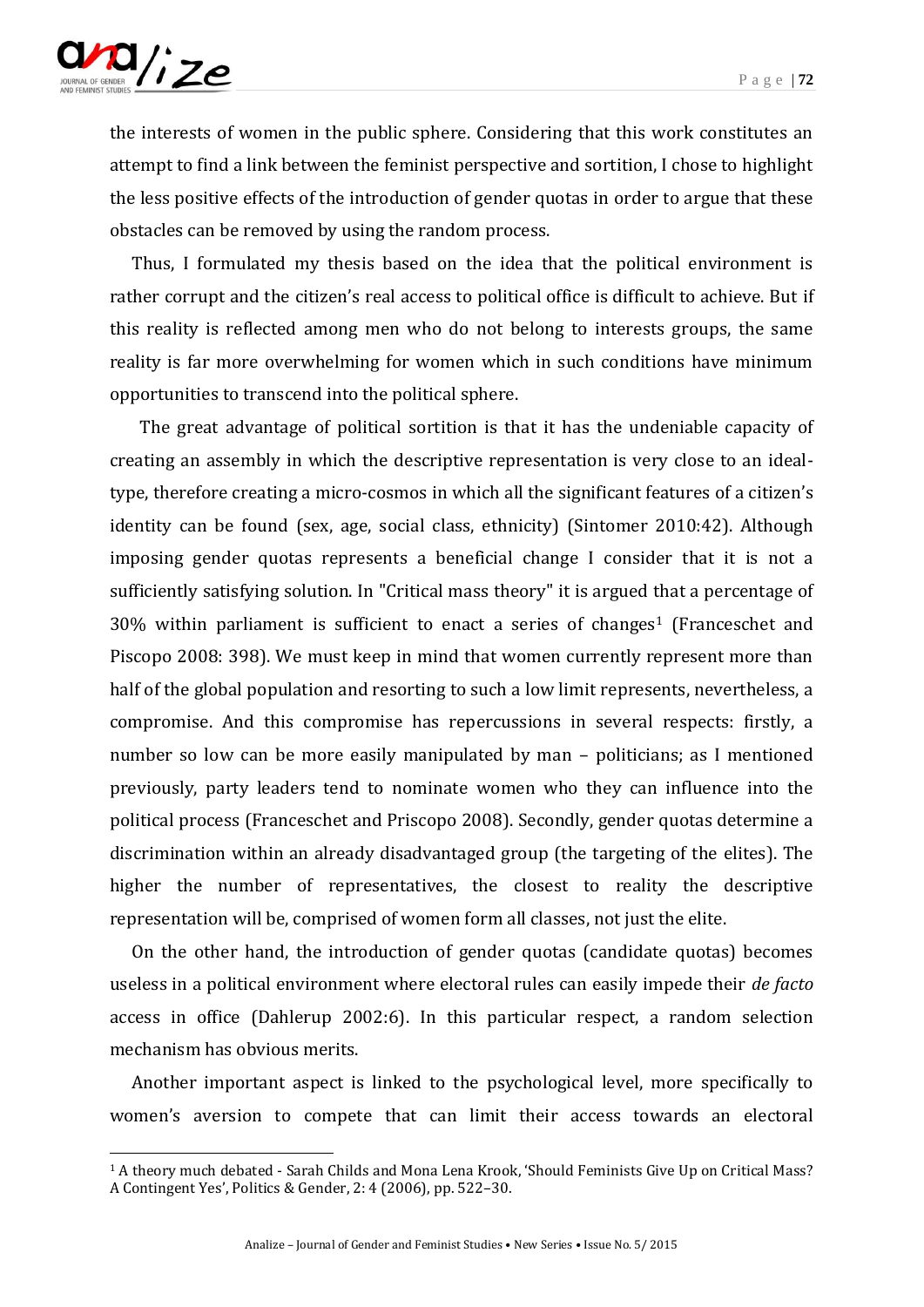

-

the interests of women in the public sphere. Considering that this work constitutes an attempt to find a link between the feminist perspective and sortition, I chose to highlight the less positive effects of the introduction of gender quotas in order to argue that these obstacles can be removed by using the random process.

Thus, I formulated my thesis based on the idea that the political environment is rather corrupt and the citizen's real access to political office is difficult to achieve. But if this reality is reflected among men who do not belong to interests groups, the same reality is far more overwhelming for women which in such conditions have minimum opportunities to transcend into the political sphere.

 The great advantage of political sortition is that it has the undeniable capacity of creating an assembly in which the descriptive representation is very close to an idealtype, therefore creating a micro-cosmos in which all the significant features of a citizen's identity can be found (sex, age, social class, ethnicity) (Sintomer 2010:42). Although imposing gender quotas represents a beneficial change I consider that it is not a sufficiently satisfying solution. In "Critical mass theory" it is argued that a percentage of  $30\%$  within parliament is sufficient to enact a series of changes<sup>1</sup> (Franceschet and Piscopo 2008: 398). We must keep in mind that women currently represent more than half of the global population and resorting to such a low limit represents, nevertheless, a compromise. And this compromise has repercussions in several respects: firstly, a number so low can be more easily manipulated by man – politicians; as I mentioned previously, party leaders tend to nominate women who they can influence into the political process (Franceschet and Priscopo 2008). Secondly, gender quotas determine a discrimination within an already disadvantaged group (the targeting of the elites). The higher the number of representatives, the closest to reality the descriptive representation will be, comprised of women form all classes, not just the elite.

On the other hand, the introduction of gender quotas (candidate quotas) becomes useless in a political environment where electoral rules can easily impede their *de facto* access in office (Dahlerup 2002:6). In this particular respect, a random selection mechanism has obvious merits.

Another important aspect is linked to the psychological level, more specifically to women's aversion to compete that can limit their access towards an electoral

<sup>1</sup> A theory much debated - Sarah Childs and Mona Lena Krook, 'Should Feminists Give Up on Critical Mass? A Contingent Yes', Politics & Gender, 2: 4 (2006), pp. 522–30.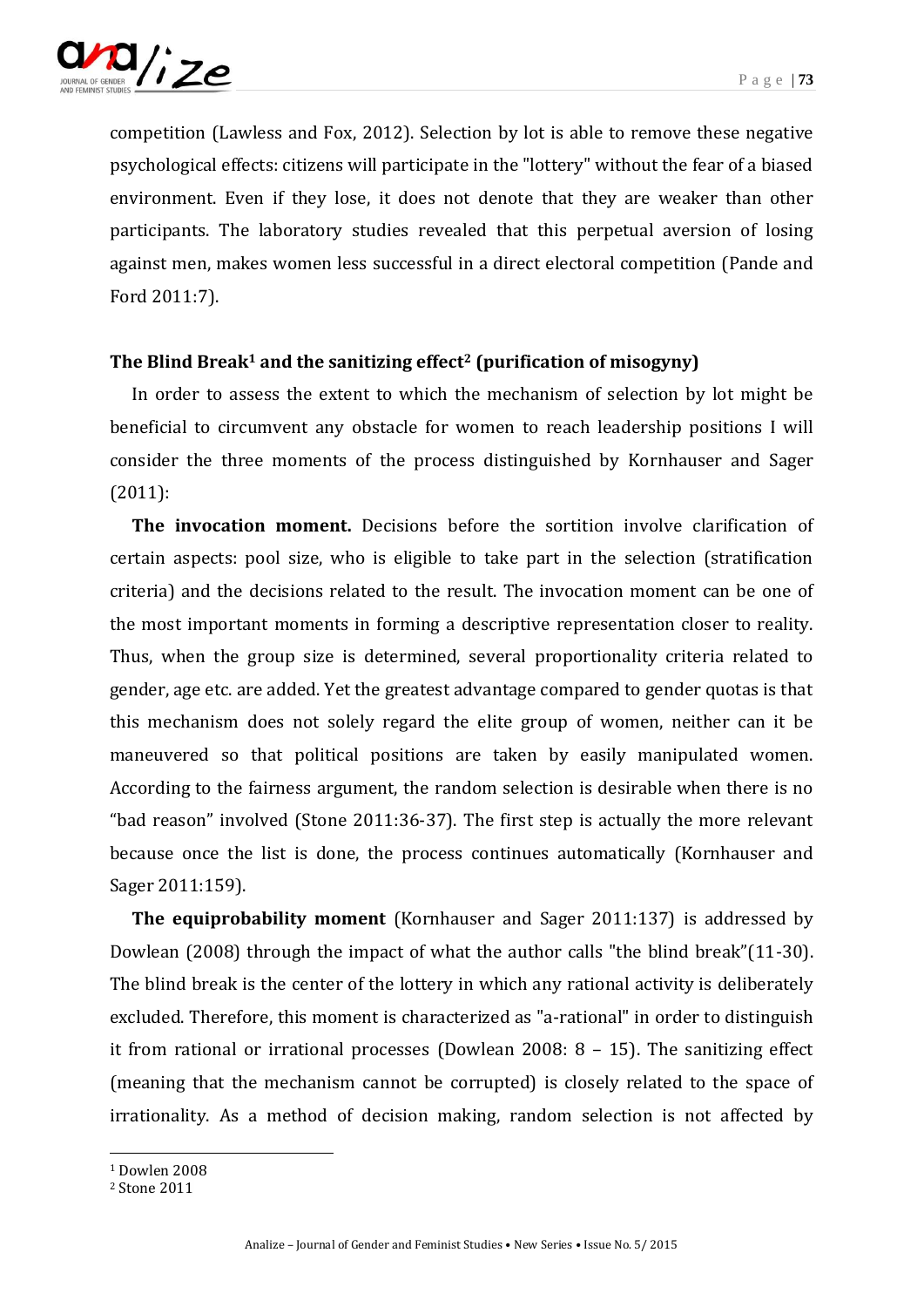

competition (Lawless and Fox, 2012). Selection by lot is able to remove these negative psychological effects: citizens will participate in the "lottery" without the fear of a biased environment. Even if they lose, it does not denote that they are weaker than other participants. The laboratory studies revealed that this perpetual aversion of losing against men, makes women less successful in a direct electoral competition (Pande and Ford 2011:7).

## **The Blind Break<sup>1</sup> and the sanitizing effect<sup>2</sup> (purification of misogyny)**

In order to assess the extent to which the mechanism of selection by lot might be beneficial to circumvent any obstacle for women to reach leadership positions I will consider the three moments of the process distinguished by Kornhauser and Sager (2011):

**The invocation moment.** Decisions before the sortition involve clarification of certain aspects: pool size, who is eligible to take part in the selection (stratification criteria) and the decisions related to the result. The invocation moment can be one of the most important moments in forming a descriptive representation closer to reality. Thus, when the group size is determined, several proportionality criteria related to gender, age etc. are added. Yet the greatest advantage compared to gender quotas is that this mechanism does not solely regard the elite group of women, neither can it be maneuvered so that political positions are taken by easily manipulated women. According to the fairness argument, the random selection is desirable when there is no "bad reason" involved (Stone 2011:36-37). The first step is actually the more relevant because once the list is done, the process continues automatically (Kornhauser and Sager 2011:159).

**The equiprobability moment** (Kornhauser and Sager 2011:137) is addressed by Dowlean (2008) through the impact of what the author calls "the blind break"(11-30). The blind break is the center of the lottery in which any rational activity is deliberately excluded. Therefore, this moment is characterized as "a-rational" in order to distinguish it from rational or irrational processes (Dowlean 2008: 8 – 15). The sanitizing effect (meaning that the mechanism cannot be corrupted) is closely related to the space of irrationality. As a method of decision making, random selection is not affected by

<sup>1</sup> Dowlen 2008

<sup>2</sup> Stone 2011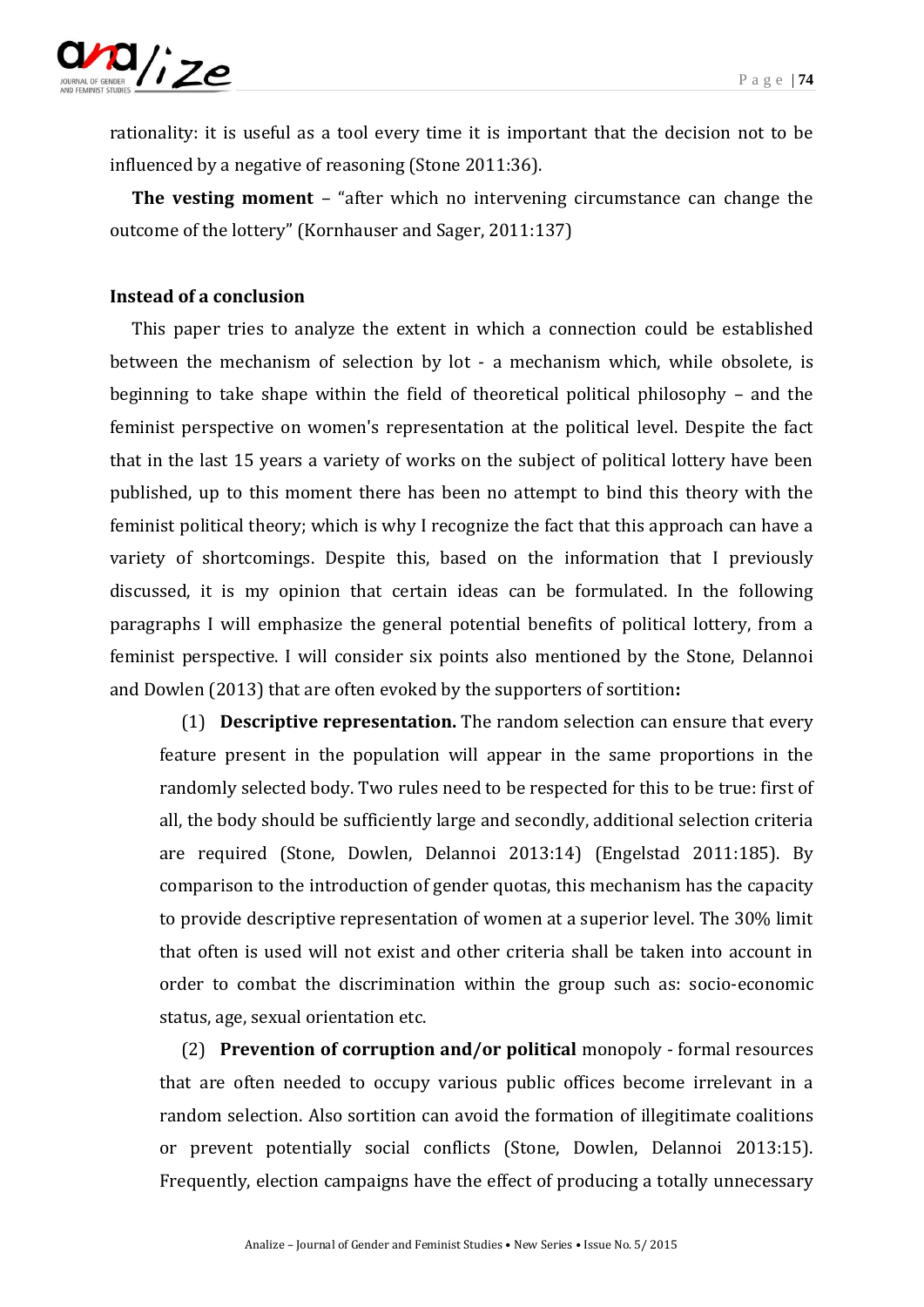

rationality: it is useful as a tool every time it is important that the decision not to be influenced by a negative of reasoning (Stone 2011:36).

**The vesting moment** – "after which no intervening circumstance can change the outcome of the lottery" (Kornhauser and Sager, 2011:137)

### **Instead of a conclusion**

This paper tries to analyze the extent in which a connection could be established between the mechanism of selection by lot - a mechanism which, while obsolete, is beginning to take shape within the field of theoretical political philosophy – and the feminist perspective on women's representation at the political level. Despite the fact that in the last 15 years a variety of works on the subject of political lottery have been published, up to this moment there has been no attempt to bind this theory with the feminist political theory; which is why I recognize the fact that this approach can have a variety of shortcomings. Despite this, based on the information that I previously discussed, it is my opinion that certain ideas can be formulated. In the following paragraphs I will emphasize the general potential benefits of political lottery, from a feminist perspective. I will consider six points also mentioned by the Stone, Delannoi and Dowlen (2013) that are often evoked by the supporters of sortition**:**

(1) **Descriptive representation.** The random selection can ensure that every feature present in the population will appear in the same proportions in the randomly selected body. Two rules need to be respected for this to be true: first of all, the body should be sufficiently large and secondly, additional selection criteria are required (Stone, Dowlen, Delannoi 2013:14) (Engelstad 2011:185). By comparison to the introduction of gender quotas, this mechanism has the capacity to provide descriptive representation of women at a superior level. The 30% limit that often is used will not exist and other criteria shall be taken into account in order to combat the discrimination within the group such as: socio-economic status, age, sexual orientation etc.

(2) **Prevention of corruption and/or political** monopoly - formal resources that are often needed to occupy various public offices become irrelevant in a random selection. Also sortition can avoid the formation of illegitimate coalitions or prevent potentially social conflicts (Stone, Dowlen, Delannoi 2013:15). Frequently, election campaigns have the effect of producing a totally unnecessary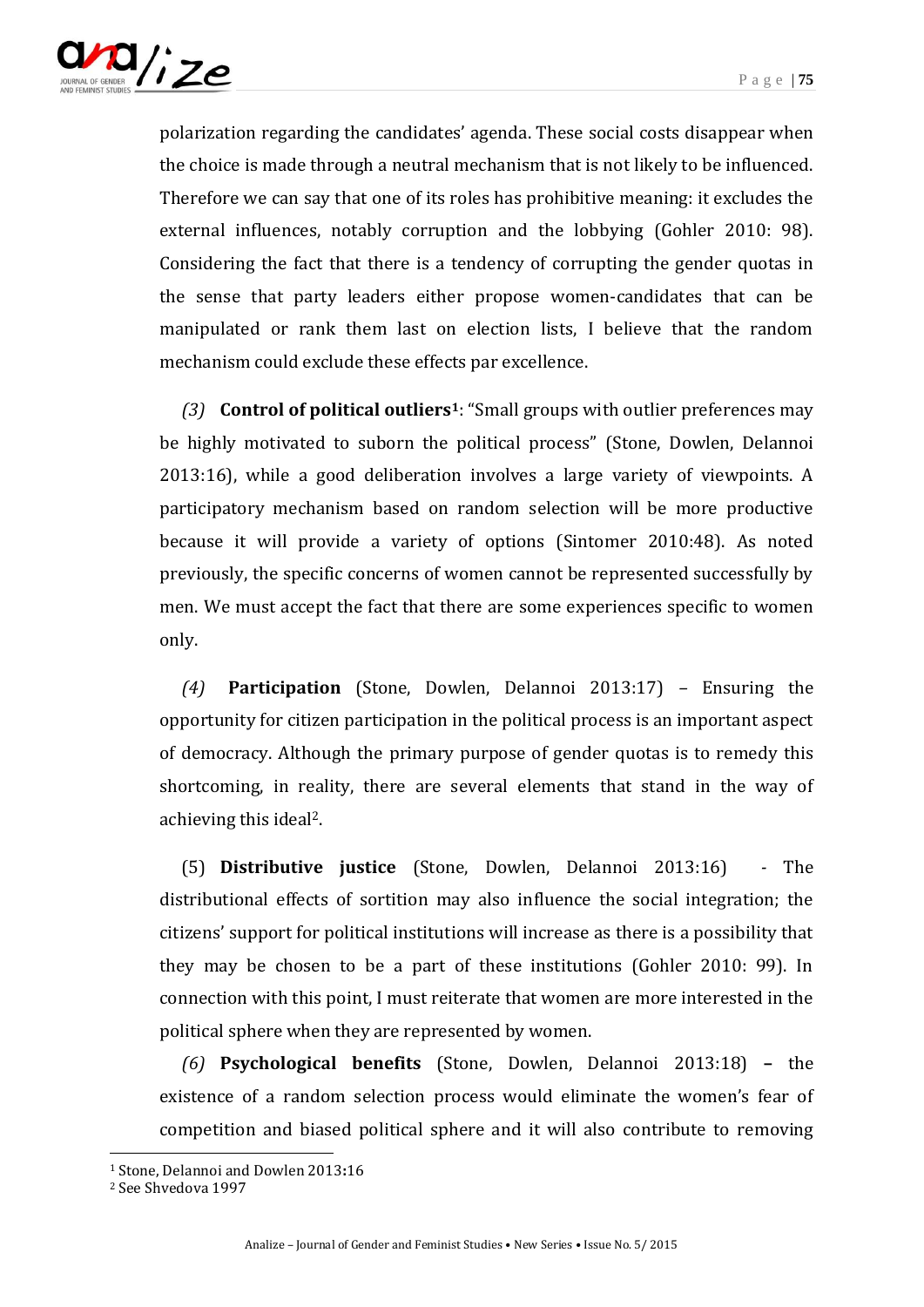

polarization regarding the candidates' agenda. These social costs disappear when the choice is made through a neutral mechanism that is not likely to be influenced. Therefore we can say that one of its roles has prohibitive meaning: it excludes the external influences, notably corruption and the lobbying (Gohler 2010: 98). Considering the fact that there is a tendency of corrupting the gender quotas in the sense that party leaders either propose women-candidates that can be manipulated or rank them last on election lists, I believe that the random mechanism could exclude these effects par excellence.

*(3)* **Control of political outliers1**: "Small groups with outlier preferences may be highly motivated to suborn the political process" (Stone, Dowlen, Delannoi 2013:16), while a good deliberation involves a large variety of viewpoints. A participatory mechanism based on random selection will be more productive because it will provide a variety of options (Sintomer 2010:48). As noted previously, the specific concerns of women cannot be represented successfully by men. We must accept the fact that there are some experiences specific to women only.

*(4)* **Participation** (Stone, Dowlen, Delannoi 2013:17) *–* Ensuring the opportunity for citizen participation in the political process is an important aspect of democracy. Although the primary purpose of gender quotas is to remedy this shortcoming, in reality, there are several elements that stand in the way of achieving this ideal2.

(5) **Distributive justice** (Stone, Dowlen, Delannoi 2013:16) *-* The distributional effects of sortition may also influence the social integration; the citizens' support for political institutions will increase as there is a possibility that they may be chosen to be a part of these institutions (Gohler 2010: 99). In connection with this point, I must reiterate that women are more interested in the political sphere when they are represented by women.

*(6)* **Psychological benefits** (Stone, Dowlen, Delannoi 2013:18) **–** the existence of a random selection process would eliminate the women's fear of competition and biased political sphere and it will also contribute to removing

<sup>1</sup> Stone, Delannoi and Dowlen 2013**:**16

<sup>2</sup> See Shvedova 1997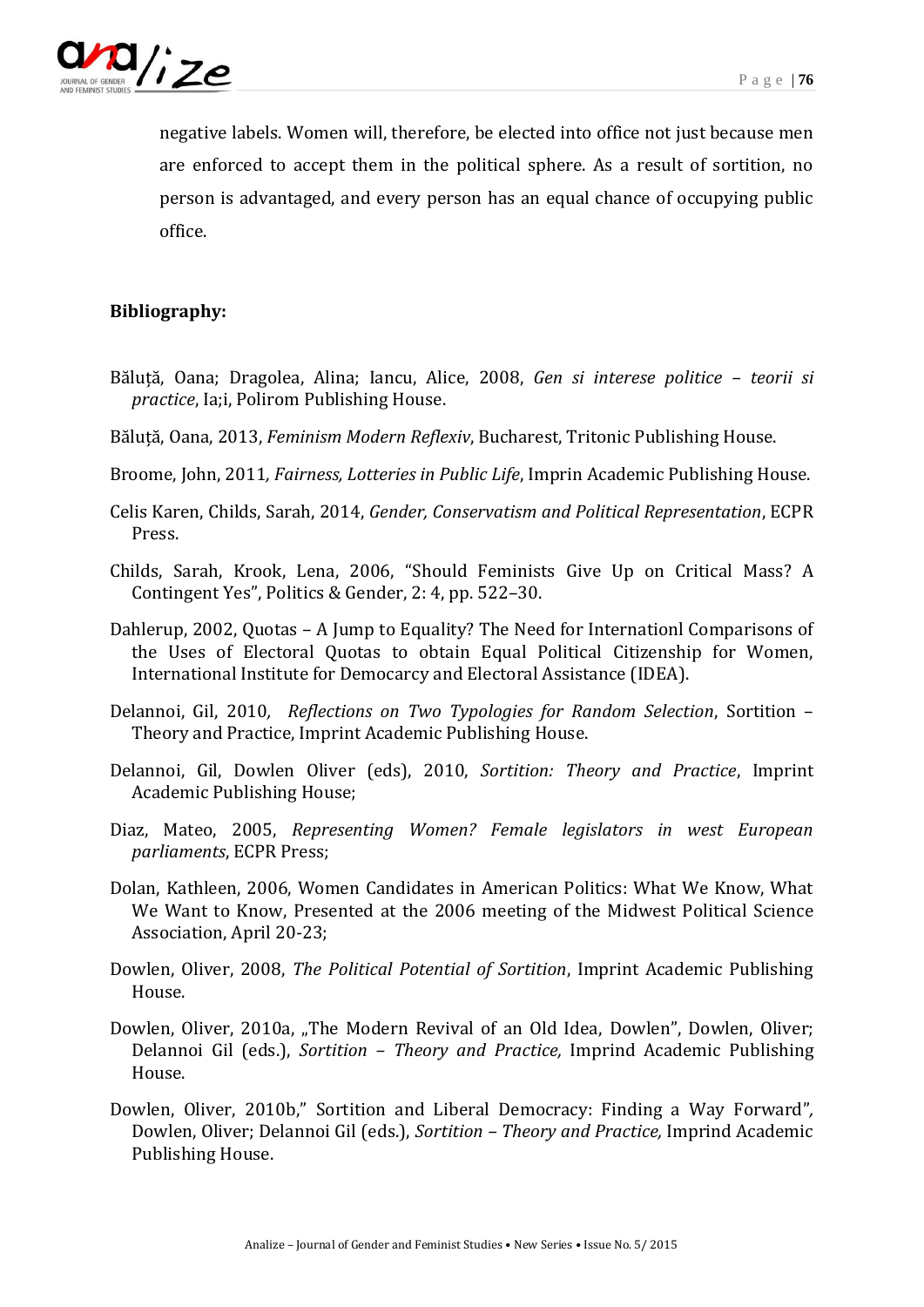

negative labels. Women will, therefore, be elected into office not just because men are enforced to accept them in the political sphere. As a result of sortition, no person is advantaged, and every person has an equal chance of occupying public office.

## **Bibliography:**

- Băluță, Oana; Dragolea, Alina; Iancu, Alice, 2008, *Gen si interese politice – teorii si practice*, Ia;i, Polirom Publishing House.
- Băluță, Oana, 2013, *Feminism Modern Reflexiv*, Bucharest, Tritonic Publishing House.
- Broome, John, 2011*, Fairness, Lotteries in Public Life*, Imprin Academic Publishing House.
- Celis Karen, Childs, Sarah, 2014, *Gender, Conservatism and Political Representation*, ECPR Press.
- Childs, Sarah, Krook, Lena, 2006, "Should Feminists Give Up on Critical Mass? A Contingent Yes", Politics & Gender, 2: 4, pp. 522–30.
- Dahlerup, 2002, Quotas A Jump to Equality? The Need for Internationl Comparisons of the Uses of Electoral Quotas to obtain Equal Political Citizenship for Women, International Institute for Democarcy and Electoral Assistance (IDEA).
- Delannoi, Gil, 2010*, Reflections on Two Typologies for Random Selection*, Sortition Theory and Practice, Imprint Academic Publishing House.
- Delannoi, Gil, Dowlen Oliver (eds), 2010, *Sortition: Theory and Practice*, Imprint Academic Publishing House;
- Diaz, Mateo, 2005, *Representing Women? Female legislators in west European parliaments*, ECPR Press;
- Dolan, Kathleen, 2006, Women Candidates in American Politics: What We Know, What We Want to Know, Presented at the 2006 meeting of the Midwest Political Science Association, April 20-23;
- Dowlen, Oliver, 2008, *The Political Potential of Sortition*, Imprint Academic Publishing House.
- Dowlen, Oliver, 2010a, "The Modern Revival of an Old Idea, Dowlen", Dowlen, Oliver; Delannoi Gil (eds.), *Sortition – Theory and Practice,* Imprind Academic Publishing House.
- Dowlen, Oliver, 2010b," Sortition and Liberal Democracy: Finding a Way Forward"*,* Dowlen, Oliver; Delannoi Gil (eds.), *Sortition – Theory and Practice,* Imprind Academic Publishing House.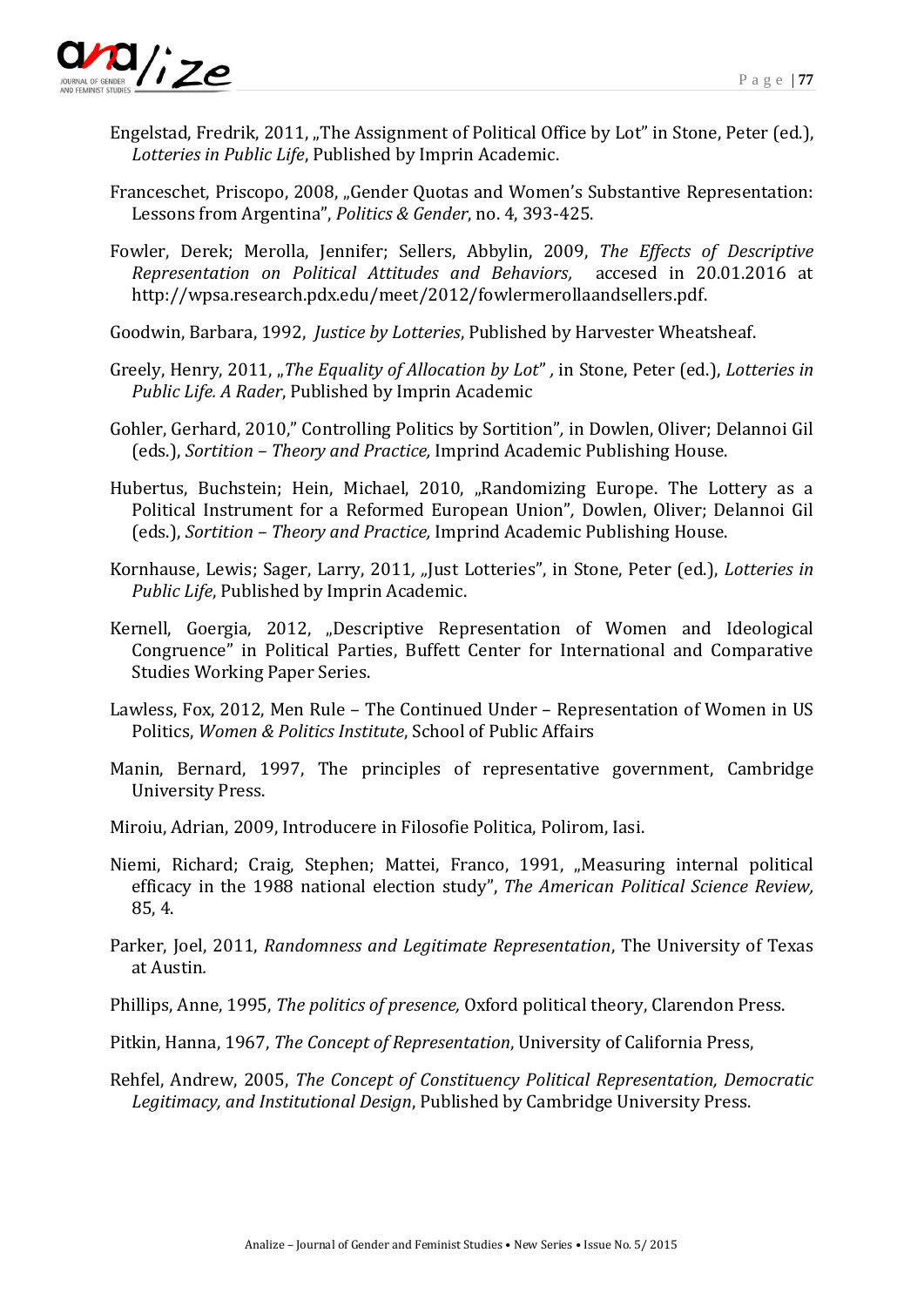

- Engelstad, Fredrik, 2011, "The Assignment of Political Office by Lot" in Stone, Peter (ed.), *Lotteries in Public Life*, Published by Imprin Academic.
- Franceschet, Priscopo, 2008, "Gender Quotas and Women's Substantive Representation: Lessons from Argentina", *Politics & Gender*, no. 4, 393-425.
- Fowler, Derek; Merolla, Jennifer; Sellers, Abbylin, 2009, *The Effects of Descriptive Representation on Political Attitudes and Behaviors,* accesed in 20.01.2016 at http://wpsa.research.pdx.edu/meet/2012/fowlermerollaandsellers.pdf.
- Goodwin, Barbara, 1992, *Justice by Lotteries*, Published by Harvester Wheatsheaf.
- Greely, Henry, 2011, "*The Equality of Allocation by Lot*", in Stone, Peter (ed.), *Lotteries in Public Life. A Rader*, Published by Imprin Academic
- Gohler, Gerhard, 2010," Controlling Politics by Sortition"*,* in Dowlen, Oliver; Delannoi Gil (eds.), *Sortition – Theory and Practice,* Imprind Academic Publishing House.
- Hubertus, Buchstein; Hein, Michael, 2010, "Randomizing Europe. The Lottery as a Political Instrument for a Reformed European Union"*,* Dowlen, Oliver; Delannoi Gil (eds.), *Sortition – Theory and Practice,* Imprind Academic Publishing House.
- Kornhause, Lewis; Sager, Larry, 2011*, "*Just Lotteries", in Stone, Peter (ed.), *Lotteries in Public Life*, Published by Imprin Academic.
- Kernell, Goergia, 2012, "Descriptive Representation of Women and Ideological Congruence" in Political Parties, Buffett Center for International and Comparative Studies Working Paper Series.
- Lawless, Fox, 2012, Men Rule The Continued Under Representation of Women in US Politics, *Women & Politics Institute*, School of Public Affairs
- Manin, Bernard, 1997, The principles of representative government, Cambridge University Press.
- Miroiu, Adrian, 2009, Introducere in Filosofie Politica, Polirom, Iasi.
- Niemi, Richard; Craig, Stephen; Mattei, Franco, 1991, "Measuring internal political efficacy in the 1988 national election study", *The American Political Science Review,*  85, 4.
- Parker, Joel, 2011, *Randomness and Legitimate Representation*, The University of Texas at Austin*.*
- Phillips, Anne, 1995, *[The politics of presence,](http://eprints.lse.ac.uk/6669/)* Oxford political theory, Clarendon Press.
- Pitkin, Hanna, 1967, *The Concept of Representation*, University of California Press,
- Rehfel, Andrew, 2005, *The Concept of Constituency Political Representation, Democratic Legitimacy, and Institutional Design*, Published by Cambridge University Press.